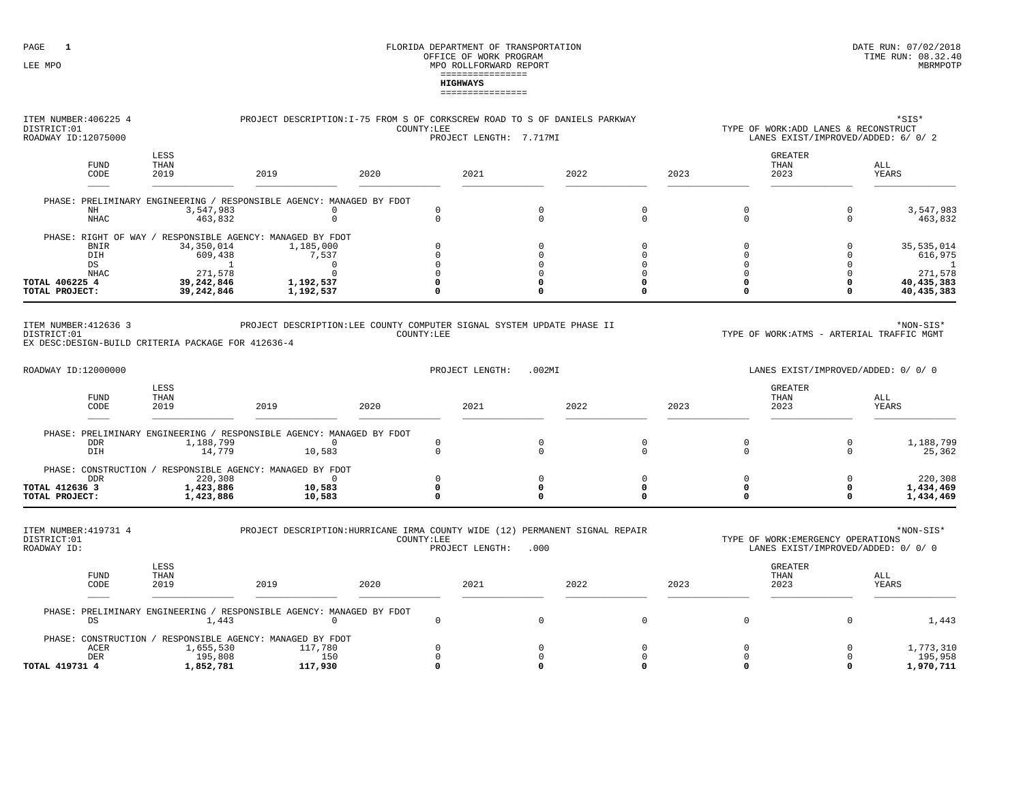| ITEM NUMBER: 406225 4<br>DISTRICT:01<br>ROADWAY ID:12075000                                                        |                                                                                                                                                                                            | PROJECT DESCRIPTION: I-75 FROM S OF CORKSCREW ROAD TO S OF DANIELS PARKWAY                                         | COUNTY:LEE         | PROJECT LENGTH: 7.717MI                                       |                                             |                                             |      |                                        | TYPE OF WORK:ADD LANES & RECONSTRUCT<br>LANES EXIST/IMPROVED/ADDED: 6/ 0/ 2                                 |                                  | *SIS*                                                      |
|--------------------------------------------------------------------------------------------------------------------|--------------------------------------------------------------------------------------------------------------------------------------------------------------------------------------------|--------------------------------------------------------------------------------------------------------------------|--------------------|---------------------------------------------------------------|---------------------------------------------|---------------------------------------------|------|----------------------------------------|-------------------------------------------------------------------------------------------------------------|----------------------------------|------------------------------------------------------------|
| <b>FUND</b><br>CODE                                                                                                | LESS<br>THAN<br>2019                                                                                                                                                                       | 2019                                                                                                               | 2020               | 2021                                                          |                                             | 2022                                        | 2023 |                                        | GREATER<br>THAN<br>2023                                                                                     |                                  | ALL<br>YEARS                                               |
|                                                                                                                    | PHASE: PRELIMINARY ENGINEERING / RESPONSIBLE AGENCY: MANAGED BY FDOT                                                                                                                       |                                                                                                                    |                    |                                                               |                                             |                                             |      |                                        |                                                                                                             |                                  |                                                            |
| NH<br><b>NHAC</b>                                                                                                  | 3,547,983<br>463,832                                                                                                                                                                       | $\mathbf 0$<br>$\mathbf 0$                                                                                         |                    | $\mathbf 0$<br>$\circ$                                        | $\mathbf 0$<br>$\mathbf 0$                  | $\mathbf 0$<br>$\mathbf 0$                  |      | $\mathbf 0$<br>$\mathbf 0$             |                                                                                                             | $\mathbf 0$<br>$\mathbf 0$       | 3,547,983<br>463,832                                       |
|                                                                                                                    | PHASE: RIGHT OF WAY / RESPONSIBLE AGENCY: MANAGED BY FDOT                                                                                                                                  |                                                                                                                    |                    |                                                               |                                             |                                             |      |                                        |                                                                                                             |                                  |                                                            |
| <b>BNIR</b>                                                                                                        | 34, 350, 014                                                                                                                                                                               | 1,185,000                                                                                                          |                    | $\mathbf 0$                                                   | $\Omega$                                    | $\mathbf 0$                                 |      | $\mathbf 0$                            |                                                                                                             | $\Omega$                         | 35, 535, 014                                               |
| DIH<br>DS                                                                                                          | 609,438<br>$\sim$ $\sim$ 1                                                                                                                                                                 | 7,537<br>$\Omega$                                                                                                  |                    | $\Omega$<br>$\Omega$                                          | $\Omega$<br>$\Omega$                        | $\Omega$<br>$\Omega$                        |      | $\Omega$<br>$\Omega$                   |                                                                                                             | $\Omega$<br>$\Omega$             | 616,975                                                    |
| <b>NHAC</b>                                                                                                        | 271,578                                                                                                                                                                                    | $\Omega$                                                                                                           |                    | $\mathbf 0$                                                   | $\Omega$                                    | $\Omega$                                    |      | $\Omega$                               |                                                                                                             | $\Omega$                         | $\overline{1}$<br>271,578                                  |
| TOTAL 406225 4                                                                                                     | 39,242,846                                                                                                                                                                                 | 1,192,537                                                                                                          |                    | $\Omega$                                                      | $\mathbf 0$                                 | $\Omega$                                    |      | $\Omega$                               |                                                                                                             | $\Omega$                         | 40,435,383                                                 |
| TOTAL PROJECT:                                                                                                     | 39,242,846                                                                                                                                                                                 | 1,192,537                                                                                                          |                    | $\Omega$                                                      | $\Omega$                                    | $\Omega$                                    |      | $\Omega$                               |                                                                                                             | $\Omega$                         | 40,435,383                                                 |
| ITEM NUMBER: 412636 3<br>DISTRICT:01<br>EX DESC: DESIGN-BUILD CRITERIA PACKAGE FOR 412636-4<br>ROADWAY ID:12000000 |                                                                                                                                                                                            | PROJECT DESCRIPTION: LEE COUNTY COMPUTER SIGNAL SYSTEM UPDATE PHASE II                                             | COUNTY:LEE         | PROJECT LENGTH:                                               | .002MT                                      |                                             |      |                                        | TYPE OF WORK:ATMS - ARTERIAL TRAFFIC MGMT<br>LANES EXIST/IMPROVED/ADDED: 0/ 0/ 0                            |                                  | *NON-SIS*                                                  |
|                                                                                                                    | LESS                                                                                                                                                                                       |                                                                                                                    |                    |                                                               |                                             |                                             |      |                                        |                                                                                                             |                                  |                                                            |
| <b>FUND</b><br>CODE                                                                                                | THAN<br>2019                                                                                                                                                                               | 2019                                                                                                               | 2020               | 2021                                                          |                                             | 2022                                        | 2023 |                                        | <b>GREATER</b><br>THAN<br>2023                                                                              |                                  | ALL<br><b>YEARS</b>                                        |
| <b>DDR</b><br>DIH                                                                                                  | PHASE: PRELIMINARY ENGINEERING / RESPONSIBLE AGENCY: MANAGED BY FDOT<br>1,188,799<br>14,779                                                                                                | $\Omega$<br>10,583                                                                                                 |                    | $\circ$<br>$\circ$                                            | $\mathbf 0$<br>$\mathbf 0$                  | $\mathbf 0$<br>$\Omega$                     |      | $\mathbf 0$<br>$\Omega$                |                                                                                                             | $\mathbf 0$<br>$\Omega$          | 1,188,799<br>25,362                                        |
|                                                                                                                    |                                                                                                                                                                                            |                                                                                                                    |                    |                                                               |                                             |                                             |      |                                        |                                                                                                             |                                  |                                                            |
|                                                                                                                    | PHASE: CONSTRUCTION / RESPONSIBLE AGENCY: MANAGED BY FDOT                                                                                                                                  | $\Omega$                                                                                                           |                    | $\Omega$                                                      |                                             | $\Omega$                                    |      |                                        |                                                                                                             |                                  |                                                            |
| <b>DDR</b><br>TOTAL 412636 3                                                                                       | 220,308<br>1,423,886                                                                                                                                                                       | 10,583                                                                                                             |                    | $\mathbf 0$                                                   | $\mathbf 0$<br>$\mathbf 0$                  | $\mathbf 0$                                 |      | $\mathbf 0$<br>$\mathbf 0$             |                                                                                                             | $\Omega$<br>0                    | 220,308<br>1,434,469                                       |
| TOTAL PROJECT:                                                                                                     | 1,423,886                                                                                                                                                                                  | 10,583                                                                                                             |                    | $\mathbf 0$                                                   | $\Omega$                                    | $\Omega$                                    |      | $\Omega$                               |                                                                                                             | 0                                | 1,434,469                                                  |
| ITEM NUMBER: 419731 4<br>DISTRICT:01<br>ROADWAY ID:<br><b>FUND</b><br>CODE<br>DS<br>ACER<br><b>DER</b>             | LESS<br>THAN<br>2019<br>PHASE: PRELIMINARY ENGINEERING / RESPONSIBLE AGENCY: MANAGED BY FDOT<br>1,443<br>PHASE: CONSTRUCTION / RESPONSIBLE AGENCY: MANAGED BY FDOT<br>1,655,530<br>195,808 | PROJECT DESCRIPTION: HURRICANE IRMA COUNTY WIDE (12) PERMANENT SIGNAL REPAIR<br>2019<br>$\Omega$<br>117,780<br>150 | COUNTY:LEE<br>2020 | PROJECT LENGTH:<br>2021<br>$\circ$<br>$\Omega$<br>$\mathbf 0$ | .000<br>$\Omega$<br>$\Omega$<br>$\mathbf 0$ | 2022<br>$\Omega$<br>$\Omega$<br>$\mathbf 0$ | 2023 | $\Omega$<br>$\mathbf 0$<br>$\mathbf 0$ | TYPE OF WORK: EMERGENCY OPERATIONS<br>LANES EXIST/IMPROVED/ADDED: 0/ 0/ 0<br><b>GREATER</b><br>THAN<br>2023 | $\Omega$<br>$\Omega$<br>$\Omega$ | *NON-SIS*<br>ALL<br>YEARS<br>1,443<br>1,773,310<br>195,958 |
|                                                                                                                    |                                                                                                                                                                                            |                                                                                                                    |                    |                                                               |                                             |                                             |      |                                        |                                                                                                             |                                  | 1,970,711                                                  |
| TOTAL 419731 4                                                                                                     | 1,852,781                                                                                                                                                                                  | 117,930                                                                                                            |                    | $\mathbf 0$                                                   | $\mathbf{0}$                                | $\Omega$                                    |      | $\Omega$                               |                                                                                                             | $\Omega$                         |                                                            |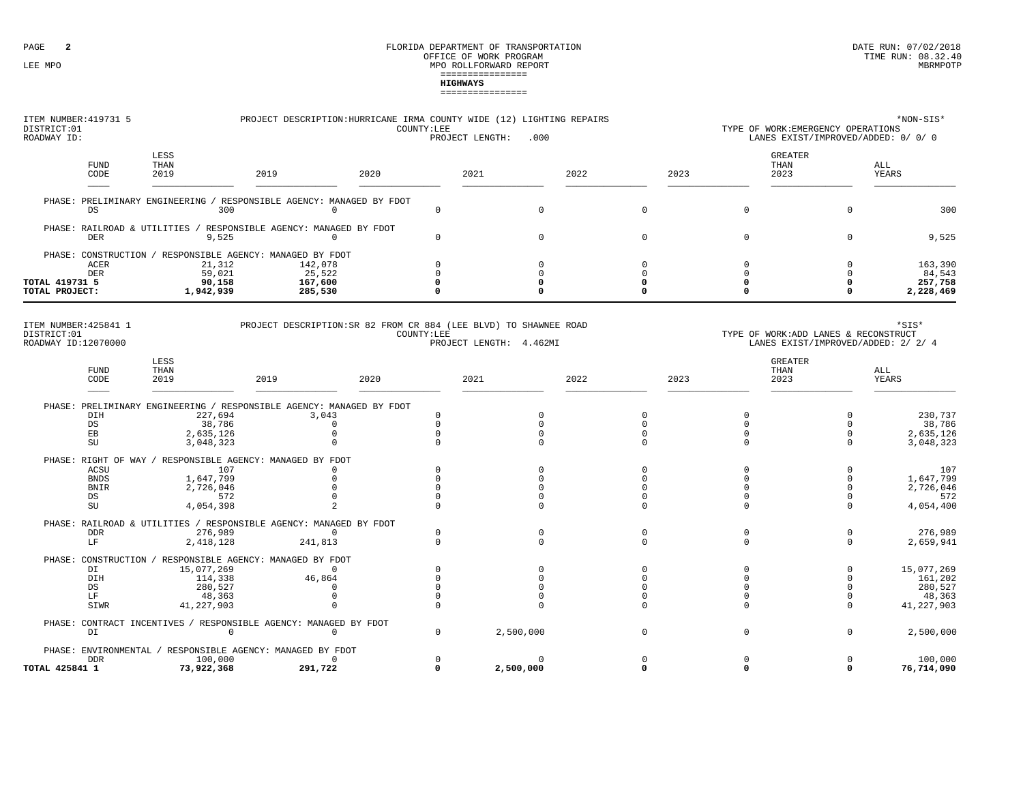#### FLORIDA DEPARTMENT OF TRANSPORTATION BERE ENDING THE RUN: 07/02/2018 DATE RUN: 07/02/2018 OFFICE OF WORK PROGRAM LEE MPO  $\,$  MPO ROLLFORWARD REPORT  $\,$ ================**HIGHWAYS**================

| ITEM NUMBER: 419731 5<br>DISTRICT:01<br>ROADWAY ID:         |                      |                                                                      | PROJECT DESCRIPTION: HURRICANE IRMA COUNTY WIDE (12) LIGHTING REPAIRS<br>COUNTY:LEE | PROJECT LENGTH:<br>.000 |      |          | TYPE OF WORK: EMERGENCY OPERATIONS<br>LANES EXIST/IMPROVED/ADDED: 0/ 0/ 0   | *NON-SIS*    |
|-------------------------------------------------------------|----------------------|----------------------------------------------------------------------|-------------------------------------------------------------------------------------|-------------------------|------|----------|-----------------------------------------------------------------------------|--------------|
| FUND<br>CODE                                                | LESS<br>THAN<br>2019 | 2019                                                                 | 2020                                                                                | 2021                    | 2022 | 2023     | GREATER<br>THAN<br>2023                                                     | ALL<br>YEARS |
| DS                                                          | 300                  | PHASE: PRELIMINARY ENGINEERING / RESPONSIBLE AGENCY: MANAGED BY FDOT |                                                                                     |                         |      |          | $\Omega$                                                                    | 300          |
| PHASE: RAILROAD & UTILITIES /<br><b>DER</b>                 | 9,525                | RESPONSIBLE AGENCY: MANAGED BY FDOT                                  |                                                                                     |                         |      | $\Omega$ | $\Omega$                                                                    | 9,525        |
| PHASE: CONSTRUCTION                                         |                      | RESPONSIBLE AGENCY: MANAGED BY FDOT                                  |                                                                                     |                         |      |          |                                                                             |              |
| ACER                                                        | 21,312               | 142,078                                                              |                                                                                     |                         |      |          |                                                                             | 163,390      |
| <b>DER</b>                                                  | 59,021               | 25,522                                                               |                                                                                     |                         |      |          |                                                                             | 84,543       |
| <b>TOTAL 419731 5</b>                                       | 90,158               | 167,600                                                              |                                                                                     |                         |      |          |                                                                             | 257,758      |
| TOTAL PROJECT:                                              | 1,942,939            | 285,530                                                              |                                                                                     |                         |      |          |                                                                             | 2,228,469    |
| ITEM NUMBER: 425841 1<br>DISTRICT:01<br>ROADWAY ID:12070000 |                      |                                                                      | PROJECT DESCRIPTION: SR 82 FROM CR 884 (LEE BLVD) TO SHAWNEE ROAD<br>COUNTY:LEE     | PROJECT LENGTH: 4.462MI |      |          | TYPE OF WORK:ADD LANES & RECONSTRUCT<br>LANES EXIST/IMPROVED/ADDED: 2/ 2/ 4 | $*$ SIS $*$  |

| DISTRICT:01<br>ROADWAY ID:12070000 |                     |                                                               |                                     | COUNTY:LEE | PROJECT LENGTH: 4.462MI |          |          | TYPE OF WORK:ADD LANES & RECONSTRUCT<br>LANES EXIST/IMPROVED/ADDED: 2/ 2/ 4 |              |
|------------------------------------|---------------------|---------------------------------------------------------------|-------------------------------------|------------|-------------------------|----------|----------|-----------------------------------------------------------------------------|--------------|
|                                    | <b>FUND</b><br>CODE | LESS<br>THAN<br>2019                                          | 2019                                | 2020       | 2021                    | 2022     | 2023     | <b>GREATER</b><br>THAN<br>2023                                              | ALL<br>YEARS |
| PHASE:                             |                     | PRELIMINARY ENGINEERING / RESPONSIBLE AGENCY: MANAGED BY FDOT |                                     |            |                         |          |          |                                                                             |              |
|                                    | DIH                 | 227,694                                                       | 3,043                               |            |                         |          |          |                                                                             | 230,737      |
|                                    | DS                  | 38,786                                                        |                                     |            |                         |          |          |                                                                             | 38,786       |
|                                    | ${\rm EB}$          | 2,635,126                                                     |                                     |            |                         |          |          |                                                                             | 2,635,126    |
|                                    | SU                  | 3,048,323                                                     |                                     |            |                         |          |          |                                                                             | 3,048,323    |
| PHASE:                             | RIGHT OF WAY        |                                                               | RESPONSIBLE AGENCY: MANAGED BY FDOT |            |                         |          |          |                                                                             |              |
|                                    | ACSU                | 107                                                           |                                     |            |                         |          |          |                                                                             | 107          |
|                                    | <b>BNDS</b>         | 1,647,799                                                     |                                     |            |                         |          |          |                                                                             | 1,647,799    |
|                                    | <b>BNIR</b>         | 2,726,046                                                     |                                     |            |                         |          |          |                                                                             | 2,726,046    |
|                                    | $_{\rm DS}$         | 572                                                           |                                     |            |                         |          |          |                                                                             | 572          |
|                                    | SU                  | 4,054,398                                                     |                                     |            |                         |          |          |                                                                             | 4,054,400    |
| PHASE:                             |                     | RAILROAD & UTILITIES                                          | RESPONSIBLE AGENCY: MANAGED BY FDOT |            |                         |          |          |                                                                             |              |
|                                    | <b>DDR</b>          | 276,989                                                       | $\overline{0}$                      |            |                         |          |          |                                                                             | 276,989      |
|                                    | LF                  | 2, 418, 128                                                   | 241,813                             |            |                         |          | $\Omega$ | $\Omega$                                                                    | 2,659,941    |
| PHASE:                             | CONSTRUCTION        |                                                               | RESPONSIBLE AGENCY: MANAGED BY FDOT |            |                         |          |          |                                                                             |              |
|                                    | DI                  | 15,077,269                                                    | $\Omega$                            |            |                         |          |          |                                                                             | 15,077,269   |
|                                    | DIH                 | 114,338                                                       | 46,864                              |            |                         |          |          |                                                                             | 161,202      |
|                                    | $_{\rm DS}$         | 280,527                                                       |                                     |            |                         |          |          |                                                                             | 280,527      |
|                                    | LF                  | 48,363                                                        |                                     |            |                         |          |          |                                                                             | 48,363       |
|                                    | SIWR                | 41, 227, 903                                                  |                                     |            |                         |          |          |                                                                             | 41, 227, 903 |
| PHASE:                             | CONTRACT INCENTIVES |                                                               | RESPONSIBLE AGENCY: MANAGED BY FDOT |            |                         |          |          |                                                                             |              |
|                                    | DI                  | $\Omega$                                                      | $\Omega$                            | $\Omega$   | 2,500,000               | $\Omega$ | $\Omega$ | 0                                                                           | 2,500,000    |
| PHASE:                             | ENVIRONMENTAL       |                                                               | RESPONSIBLE AGENCY: MANAGED BY FDOT |            |                         |          |          |                                                                             |              |
|                                    | DDR                 | 100,000                                                       |                                     |            |                         |          |          |                                                                             | 100,000      |
| TOTAL 425841 1                     |                     | 73,922,368                                                    | 291,722                             |            | 2,500,000               |          |          |                                                                             | 76,714,090   |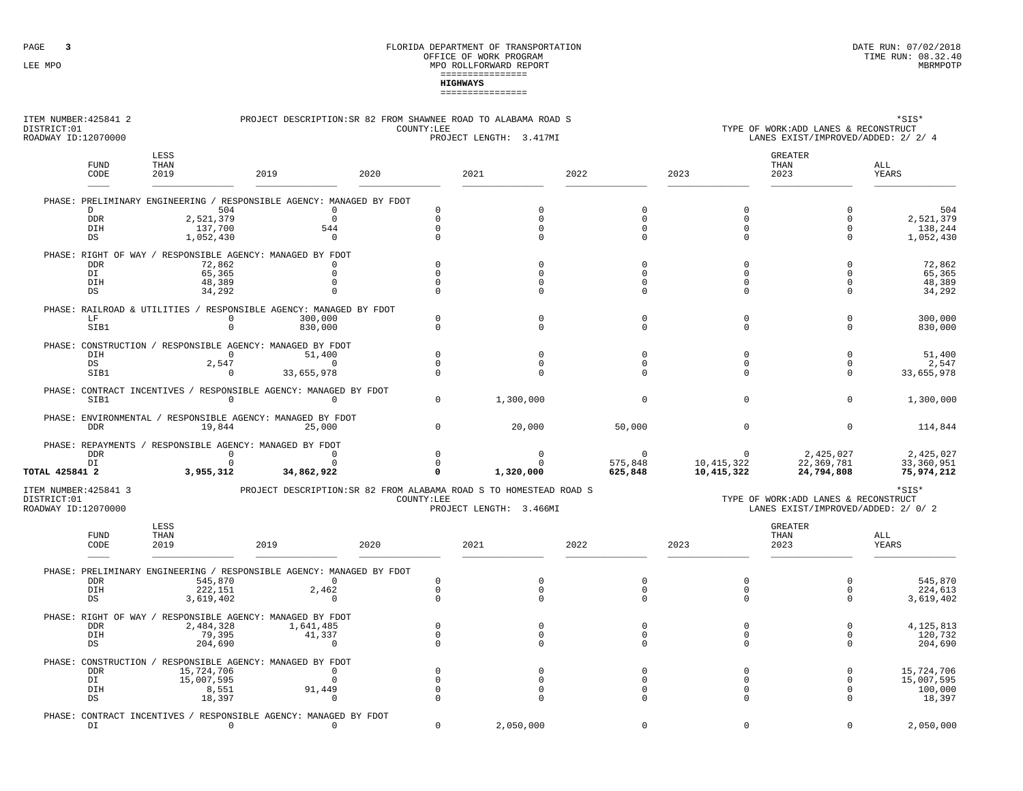#### FLORIDA DEPARTMENT OF TRANSPORTATION BERE ENDING THE RUN: 07/02/2018 DATE RUN: 07/02/2018 OFFICE OF WORK PROGRAM LEE MPO  $\,$  MPO ROLLFORWARD REPORT  $\,$ ================**HIGHWAYS**================

| ITEM NUMBER: 425841 2<br>DISTRICT:01<br>ROADWAY ID:12070000 |                        | PROJECT DESCRIPTION: SR 82 FROM SHAWNEE ROAD TO ALABAMA ROAD S                   |      | COUNTY:LEE                 | PROJECT LENGTH: 3.417MI |                         |                            | TYPE OF WORK:ADD LANES & RECONSTRUCT<br>LANES EXIST/IMPROVED/ADDED: 2/ 2/ 4 | *SIS*                 |
|-------------------------------------------------------------|------------------------|----------------------------------------------------------------------------------|------|----------------------------|-------------------------|-------------------------|----------------------------|-----------------------------------------------------------------------------|-----------------------|
| <b>FUND</b><br>CODE                                         | LESS<br>THAN<br>2019   | 2019                                                                             | 2020 |                            | 2021                    | 2022                    | 2023                       | <b>GREATER</b><br>THAN<br>2023                                              | ALL<br>YEARS          |
|                                                             |                        | PHASE: PRELIMINARY ENGINEERING / RESPONSIBLE AGENCY: MANAGED BY FDOT             |      |                            |                         |                         |                            |                                                                             |                       |
| D<br>${\tt DDR}$                                            | 504<br>2,521,379       | $\mathbf 0$<br>$\circ$                                                           |      | $\Omega$<br>$\mathsf 0$    | $\Omega$<br>$\Omega$    | $\Omega$<br>$\Omega$    | $\Omega$<br>$\mathbf 0$    | $\Omega$<br>$\Omega$                                                        | 504<br>2,521,379      |
| DIH                                                         | 137,700                | 544                                                                              |      | $\mathbf 0$                | $\mathbf 0$             | 0                       | 0                          | $\mathbf 0$                                                                 | 138,244               |
| DS                                                          | 1,052,430              | $\mathbf{0}$                                                                     |      | $\mathbf 0$                | $\Omega$                | $\Omega$                | $\mathbf 0$                | $\Omega$                                                                    | 1,052,430             |
|                                                             |                        | PHASE: RIGHT OF WAY / RESPONSIBLE AGENCY: MANAGED BY FDOT                        |      |                            |                         |                         |                            |                                                                             |                       |
| <b>DDR</b>                                                  | 72,862                 | $\Omega$                                                                         |      | $\mathbf 0$                | $\Omega$                | $\Omega$                | $\mathbf 0$                | $\Omega$                                                                    | 72,862                |
| DI                                                          | 65,365                 | $\mathbf{0}$                                                                     |      | 0                          | $\Omega$                | $\mathbf 0$             | $\mathbf 0$                | $\mathbf 0$                                                                 | 65,365                |
| DIH<br>DS                                                   | 48,389<br>34,292       | $\mathbf{0}$<br>$\mathbf 0$                                                      |      | $\mathsf 0$<br>$\mathbf 0$ | $\Omega$<br>$\Omega$    | $\Omega$<br>$\Omega$    | $\mathbf 0$<br>$^{\circ}$  | $\Omega$<br>$\mathbf 0$                                                     | 48,389<br>34,292      |
|                                                             |                        |                                                                                  |      |                            |                         |                         |                            |                                                                             |                       |
|                                                             |                        | PHASE: RAILROAD & UTILITIES / RESPONSIBLE AGENCY: MANAGED BY FDOT                |      |                            |                         |                         |                            |                                                                             |                       |
| LF<br>SIB1                                                  | $\circ$<br>$\mathbf 0$ | 300,000<br>830,000                                                               |      | $\mathbf 0$<br>$\mathsf 0$ | $\Omega$<br>$\Omega$    | $\mathbf 0$<br>$\Omega$ | $\mathbf 0$<br>$\mathbf 0$ | $\mathbf 0$<br>$\Omega$                                                     | 300,000<br>830,000    |
|                                                             |                        |                                                                                  |      |                            |                         |                         |                            |                                                                             |                       |
|                                                             |                        | PHASE: CONSTRUCTION / RESPONSIBLE AGENCY: MANAGED BY FDOT                        |      |                            |                         |                         |                            |                                                                             |                       |
| DIH                                                         | $\circ$                | 51,400                                                                           |      | $\mathbf 0$                | $\mathbf 0$             | $\mathbf 0$             | $\mathbf 0$                | $\mathbf 0$                                                                 | 51,400                |
| DS<br>SIB1                                                  | 2,547<br>$\mathbf 0$   | $\sim$ 0<br>33,655,978                                                           |      | $\mathbf 0$<br>$\Omega$    | $\circ$<br>$\Omega$     | $\Omega$<br>$\Omega$    | $\mathbf 0$<br>$\Omega$    | $\Omega$<br>$\Omega$                                                        | 2,547<br>33,655,978   |
|                                                             |                        |                                                                                  |      |                            |                         |                         |                            |                                                                             |                       |
|                                                             |                        | PHASE: CONTRACT INCENTIVES / RESPONSIBLE AGENCY: MANAGED BY FDOT                 |      |                            |                         |                         |                            |                                                                             |                       |
| SIB1                                                        | $\circ$                | $\circ$                                                                          |      | $\circ$                    | 1,300,000               | $\mathbf 0$             | 0                          | $\mathbb O$                                                                 | 1,300,000             |
|                                                             |                        | PHASE: ENVIRONMENTAL / RESPONSIBLE AGENCY: MANAGED BY FDOT                       |      |                            |                         |                         |                            |                                                                             |                       |
| <b>DDR</b>                                                  | 19,844                 | 25,000                                                                           |      | $\mathsf 0$                | 20,000                  | 50,000                  | $\mathbf 0$                | $\Omega$                                                                    | 114,844               |
|                                                             |                        | PHASE: REPAYMENTS / RESPONSIBLE AGENCY: MANAGED BY FDOT                          |      |                            |                         |                         |                            |                                                                             |                       |
| <b>DDR</b>                                                  | $\mathbf 0$            | $\mathbf{0}$                                                                     |      | $\mathbb O$                | $\Omega$                | $^{\circ}$              | $\Omega$                   | 2,425,027                                                                   | 2,425,027             |
| DI                                                          | $\mathsf 0$            | 0                                                                                |      | 0                          | $\Omega$                | 575,848                 | 10,415,322                 | 22,369,781                                                                  | 33,360,951            |
| TOTAL 425841 2                                              | 3,955,312              | 34,862,922                                                                       |      | $\mathbf 0$                | 1,320,000               | 625,848                 | 10,415,322                 | 24,794,808                                                                  | 75,974,212            |
| ITEM NUMBER: 425841 3<br>DISTRICT:01<br>ROADWAY ID:12070000 |                        | PROJECT DESCRIPTION: SR 82 FROM ALABAMA ROAD S TO HOMESTEAD ROAD S               |      | COUNTY:LEE                 | PROJECT LENGTH: 3.466MI |                         |                            | TYPE OF WORK:ADD LANES & RECONSTRUCT<br>LANES EXIST/IMPROVED/ADDED: 2/ 0/ 2 | *SIS*                 |
|                                                             |                        |                                                                                  |      |                            |                         |                         |                            |                                                                             |                       |
| <b>FUND</b>                                                 | LESS<br>THAN           |                                                                                  |      |                            |                         |                         |                            | <b>GREATER</b><br>THAN                                                      | ALL                   |
| CODE                                                        | 2019                   | 2019                                                                             | 2020 |                            | 2021                    | 2022                    | 2023                       | 2023                                                                        | YEARS                 |
|                                                             |                        |                                                                                  |      |                            |                         |                         |                            |                                                                             |                       |
|                                                             |                        | PHASE: PRELIMINARY ENGINEERING / RESPONSIBLE AGENCY: MANAGED BY FDOT             |      |                            |                         |                         |                            |                                                                             |                       |
| <b>DDR</b>                                                  | 545,870                | $\mathbf 0$                                                                      |      | $\mathbf 0$                | $\Omega$                | $\Omega$                | 0                          | $\mathbf 0$                                                                 | 545,870               |
| DIH                                                         | 222,151                | 2,462                                                                            |      | $\mathbf 0$                | $\Omega$                | $\Omega$                | $\mathbf 0$                | $\Omega$                                                                    | 224,613               |
| DS                                                          | 3,619,402              | $\mathbf{0}$                                                                     |      | $\mathsf 0$                | $\Omega$                | $\mathbf 0$             | 0                          | $\mathbf 0$                                                                 | 3,619,402             |
|                                                             |                        | PHASE: RIGHT OF WAY / RESPONSIBLE AGENCY: MANAGED BY FDOT                        |      |                            |                         |                         |                            |                                                                             |                       |
| <b>DDR</b>                                                  | 2,484,328              | 1,641,485                                                                        |      | $\mathbb O$                | $\Omega$                | $\mathbf 0$             | $\mathsf 0$                | $\mathbf 0$                                                                 | 4, 125, 813           |
| DIH<br>DS                                                   | 79,395<br>204,690      | 41,337<br>$\circ$                                                                |      | $\mathbf 0$<br>$\mathbf 0$ | $\Omega$<br>$\Omega$    | 0<br>0                  | $\mathbf 0$<br>$\mathbf 0$ | $\mathbf 0$<br>$\Omega$                                                     | 120,732               |
|                                                             |                        |                                                                                  |      |                            |                         |                         |                            |                                                                             | 204,690               |
|                                                             |                        | PHASE: CONSTRUCTION / RESPONSIBLE AGENCY: MANAGED BY FDOT                        |      |                            |                         |                         |                            |                                                                             |                       |
| <b>DDR</b>                                                  | 15,724,706             | $\mathbf{0}$                                                                     |      | $\Omega$                   | $\Omega$                | $\Omega$                | $\mathbf 0$                | $\Omega$                                                                    | 15,724,706            |
| DI<br>DIH                                                   | 15,007,595<br>8,551    | $\circ$<br>91,449                                                                |      | $\mathbb O$<br>$\mathbf 0$ | $\mathbf 0$<br>0        | $\Omega$<br>0           | $\mathbf 0$<br>0           | $\mathbf 0$<br>$\mathbf 0$                                                  | 15,007,595<br>100,000 |
| DS                                                          | 18,397                 | $\mathbf 0$                                                                      |      | $\Omega$                   | $\Omega$                | $\Omega$                | $\mathbf 0$                | $\Omega$                                                                    | 18,397                |
|                                                             |                        |                                                                                  |      |                            |                         |                         |                            |                                                                             |                       |
| DI                                                          | $\mathbf 0$            | PHASE: CONTRACT INCENTIVES / RESPONSIBLE AGENCY: MANAGED BY FDOT<br>$\mathbf{0}$ |      | $\mathbf 0$                | 2,050,000               | $\Omega$                | $\mathbf 0$                | $\mathbf 0$                                                                 | 2,050,000             |
|                                                             |                        |                                                                                  |      |                            |                         |                         |                            |                                                                             |                       |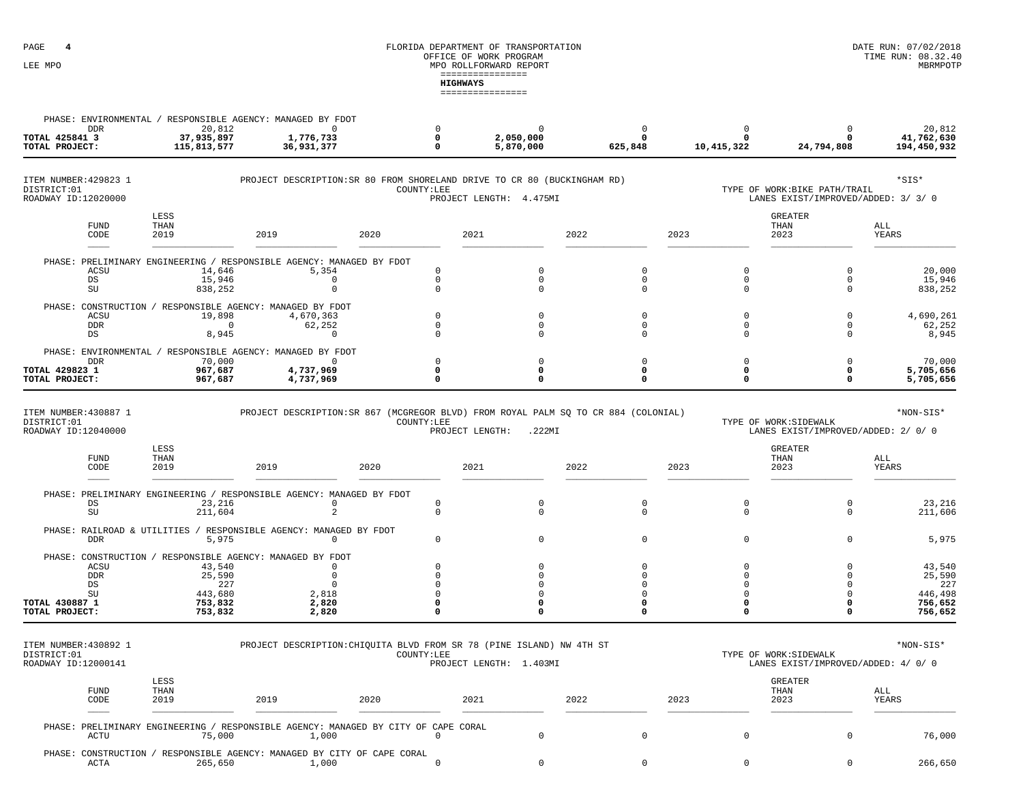#### FLORIDA DEPARTMENT OF TRANSPORTATION **EXECUTE OF TRANSPORTATION** DATE RUN: 07/02/2018 **DATE RUN: 08.32.40** OFFICE OF WORK PROGRAM LEE MPO  $\,$  MPO ROLLFORWARD REPORT  $\,$ ================**HIGHWAYS**

|                                                             |                                                          |                                                                                                                                |            | ================                                                     |                                                                               |                                                                         |                                                                      |                                                                                |                                                          |
|-------------------------------------------------------------|----------------------------------------------------------|--------------------------------------------------------------------------------------------------------------------------------|------------|----------------------------------------------------------------------|-------------------------------------------------------------------------------|-------------------------------------------------------------------------|----------------------------------------------------------------------|--------------------------------------------------------------------------------|----------------------------------------------------------|
| DDR<br>TOTAL 425841 3<br>TOTAL PROJECT:                     | 20,812<br>37,935,897<br>115,813,577                      | PHASE: ENVIRONMENTAL / RESPONSIBLE AGENCY: MANAGED BY FDOT<br>$\mathbf 0$<br>1,776,733<br>36,931,377                           |            | $\Omega$<br>$\mathbf 0$<br>$\mathbf 0$                               | $\mathbf 0$<br>2,050,000<br>5,870,000                                         | $\mathbb O$<br>$\mathbf 0$<br>625,848                                   | $\circ$<br>$\mathbf 0$<br>10,415,322                                 | $\mathbf 0$<br>$\Omega$<br>24,794,808                                          | 20,812<br>41,762,630<br>194,450,932                      |
| ITEM NUMBER: 429823 1<br>DISTRICT:01<br>ROADWAY ID:12020000 |                                                          | PROJECT DESCRIPTION: SR 80 FROM SHORELAND DRIVE TO CR 80 (BUCKINGHAM RD)                                                       | COUNTY:LEE |                                                                      | PROJECT LENGTH: 4.475MI                                                       |                                                                         |                                                                      | TYPE OF WORK:BIKE PATH/TRAIL<br>LANES EXIST/IMPROVED/ADDED: 3/ 3/ 0            | $*$ SIS $*$                                              |
| FUND<br>CODE                                                | LESS<br>THAN<br>2019                                     | 2019                                                                                                                           | 2020       | 2021                                                                 |                                                                               | 2022                                                                    | 2023                                                                 | <b>GREATER</b><br>THAN<br>2023                                                 | ALL<br>YEARS                                             |
| ACSU<br><b>DS</b><br><b>SU</b>                              | 14,646<br>15,946<br>838,252                              | PHASE: PRELIMINARY ENGINEERING / RESPONSIBLE AGENCY: MANAGED BY FDOT<br>5,354<br>$\mathbf 0$<br>$\Omega$                       |            | 0<br>$\mathbf 0$<br>$\Omega$                                         | $\mathsf 0$<br>$\mathbf 0$<br>$\Omega$                                        | $\mathbb O$<br>$\mathbf 0$<br>$\Omega$                                  | $\Omega$<br>$\mathbf 0$<br>$\Omega$                                  | $\mathbf 0$<br>$\mathbf 0$<br>$\mathbf 0$                                      | 20,000<br>15,946<br>838,252                              |
| ACSU<br><b>DDR</b><br><b>DS</b>                             | 19,898<br>$\overline{0}$<br>8,945                        | PHASE: CONSTRUCTION / RESPONSIBLE AGENCY: MANAGED BY FDOT<br>4,670,363<br>62,252<br>$\mathbf 0$                                |            | $\mathbf 0$<br>0<br>$\Omega$                                         | $\mathsf 0$<br>$\mathbf 0$<br>$\Omega$                                        | $^{\circ}$<br>$\Omega$<br>$\Omega$                                      | $\mathbf 0$<br>$\mathbf 0$<br>$\mathbf 0$                            | $\mathbf 0$<br>$\mathbf 0$<br>$\mathbf 0$                                      | 4,690,261<br>62,252<br>8,945                             |
| <b>DDR</b><br>TOTAL 429823 1<br>TOTAL PROJECT:              | 70,000<br>967,687<br>967,687                             | PHASE: ENVIRONMENTAL / RESPONSIBLE AGENCY: MANAGED BY FDOT<br>$^{\circ}$<br>4,737,969<br>4,737,969                             |            | $\Omega$<br>0<br>$\Omega$                                            | $\mathbf 0$<br>$\mathbf 0$<br>$\mathbf 0$                                     | $\mathbf 0$<br>0<br>0                                                   | $\circ$<br>$\mathbf 0$<br>$\mathbf 0$                                | $\mathbf 0$<br>$\mathbf 0$<br>$\mathbf 0$                                      | 70,000<br>5,705,656<br>5,705,656                         |
| ITEM NUMBER: 430887 1<br>DISTRICT:01<br>ROADWAY ID:12040000 |                                                          | PROJECT DESCRIPTION: SR 867 (MCGREGOR BLVD) FROM ROYAL PALM SQ TO CR 884 (COLONIAL)                                            | COUNTY:LEE | PROJECT LENGTH:                                                      | .222MI                                                                        |                                                                         |                                                                      | TYPE OF WORK: SIDEWALK<br>LANES EXIST/IMPROVED/ADDED: 2/ 0/ 0                  | *NON-SIS*                                                |
| <b>FUND</b><br>CODE                                         | LESS<br>THAN<br>2019                                     | 2019                                                                                                                           | 2020       | 2021                                                                 |                                                                               | 2022                                                                    | 2023                                                                 | <b>GREATER</b><br>THAN<br>2023                                                 | ALL<br>YEARS                                             |
| DS<br>SU                                                    | 23,216<br>211,604                                        | PHASE: PRELIMINARY ENGINEERING / RESPONSIBLE AGENCY: MANAGED BY FDOT<br>0<br>2                                                 |            | 0<br>$\mathbf 0$                                                     | $\mathsf 0$<br>$\Omega$                                                       | 0<br>$\cap$                                                             | $\overline{0}$<br>$\Omega$                                           | $\mathbf 0$<br>$\mathbf 0$                                                     | 23,216<br>211,606                                        |
| <b>DDR</b>                                                  | 5,975                                                    | PHASE: RAILROAD & UTILITIES / RESPONSIBLE AGENCY: MANAGED BY FDOT<br>$^{\circ}$                                                |            | $\mathbf 0$                                                          | $\mathbf 0$                                                                   | $\mathbf 0$                                                             | $\mathsf 0$                                                          | $\mathbf 0$                                                                    | 5,975                                                    |
| ACSU<br>DDR<br>DS<br>SU<br>TOTAL 430887 1<br>TOTAL PROJECT: | 43,540<br>25,590<br>227<br>443,680<br>753,832<br>753,832 | PHASE: CONSTRUCTION / RESPONSIBLE AGENCY: MANAGED BY FDOT<br>$\mathbf 0$<br>$\mathbf 0$<br>$\Omega$<br>2,818<br>2,820<br>2,820 |            | $\Omega$<br>$\Omega$<br>$\Omega$<br>$\Omega$<br>$\Omega$<br>$\Omega$ | $\mathbf 0$<br>$\Omega$<br>$\Omega$<br>$\mathbf 0$<br>$\mathbf 0$<br>$\Omega$ | $\mathbf 0$<br>$\Omega$<br>$\Omega$<br>$\Omega$<br>$\Omega$<br>$\Omega$ | $\Omega$<br>$\Omega$<br>$\Omega$<br>$\Omega$<br>$\Omega$<br>$\Omega$ | $\mathbf 0$<br>$\mathbf 0$<br>$^{\circ}$<br>$^{\circ}$<br>$\Omega$<br>$\Omega$ | 43,540<br>25,590<br>227<br>446,498<br>756,652<br>756,652 |
| ITEM NUMBER: 430892 1<br>DISTRICT:01<br>ROADWAY ID:12000141 |                                                          | PROJECT DESCRIPTION: CHIQUITA BLVD FROM SR 78 (PINE ISLAND) NW 4TH ST                                                          | COUNTY:LEE |                                                                      | PROJECT LENGTH: 1.403MI                                                       |                                                                         |                                                                      | TYPE OF WORK: SIDEWALK<br>LANES EXIST/IMPROVED/ADDED: 4/ 0/ 0                  | *NON-SIS*                                                |
| <b>FUND</b><br>CODE                                         | LESS<br>THAN<br>2019                                     | 2019                                                                                                                           | 2020       | 2021                                                                 |                                                                               | 2022                                                                    | 2023                                                                 | <b>GREATER</b><br>THAN<br>2023                                                 | ALL<br>YEARS                                             |

 $75,000$  1,000 0 ACTU0 0 0 0 0 0 0 76,000 PHASE: CONSTRUCTION / RESPONSIBLE AGENCY: MANAGED BY CITY OF CAPE CORAL $265,650$   $1,000$   $0$   $0$   $0$   $0$   $0$   $0$   $0$   $0$   $266,650$ ACTA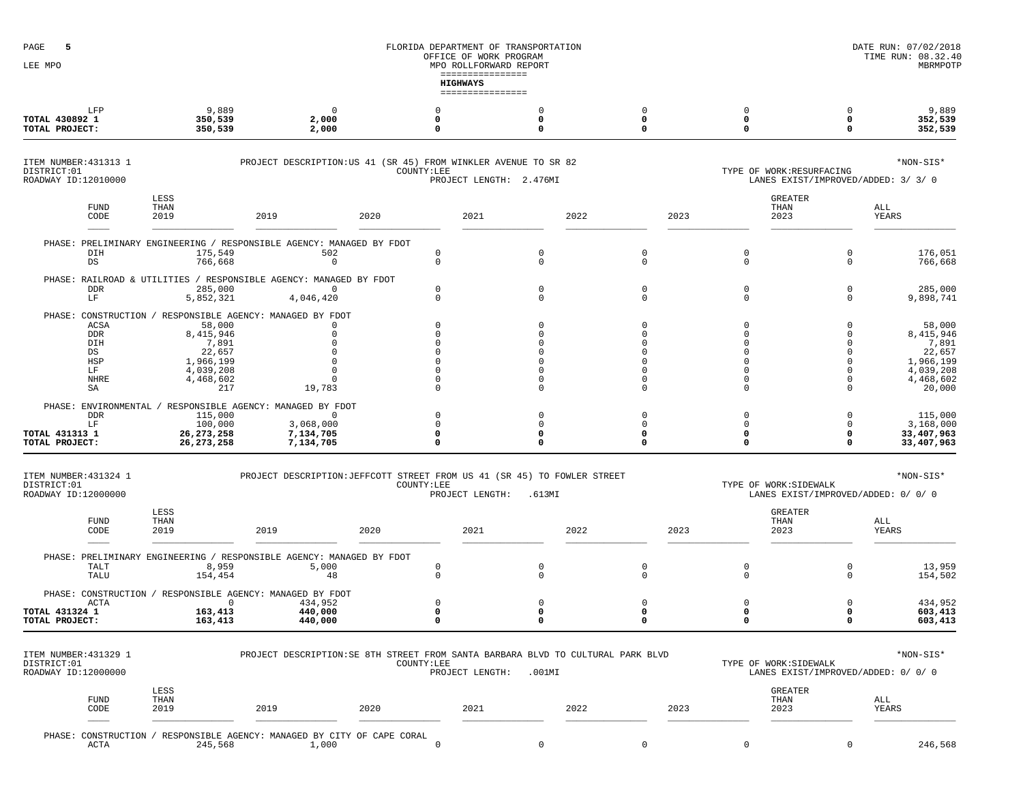| PAGE<br>5<br>LEE MPO                                        |                                                            |                                                                                      |                                                                                                                                                    |            | FLORIDA DEPARTMENT OF TRANSPORTATION<br>OFFICE OF WORK PROGRAM<br>MPO ROLLFORWARD REPORT<br>================<br><b>HIGHWAYS</b><br>================ |                                                                                              |                                                                                             |                                                                                          |                                                                                       | DATE RUN: 07/02/2018<br>TIME RUN: 08.32.40<br>MBRMPOTF                                  |
|-------------------------------------------------------------|------------------------------------------------------------|--------------------------------------------------------------------------------------|----------------------------------------------------------------------------------------------------------------------------------------------------|------------|-----------------------------------------------------------------------------------------------------------------------------------------------------|----------------------------------------------------------------------------------------------|---------------------------------------------------------------------------------------------|------------------------------------------------------------------------------------------|---------------------------------------------------------------------------------------|-----------------------------------------------------------------------------------------|
| TOTAL 430892 1<br>TOTAL PROJECT:                            | LFP                                                        | 9,889<br>350,539<br>350,539                                                          | $^{\circ}$<br>2,000<br>2,000                                                                                                                       |            | 0<br>0                                                                                                                                              | 0<br>0<br>0                                                                                  | $\mathbf 0$<br>0<br>0                                                                       | $\mathbf 0$<br>$\mathbf 0$<br>$\Omega$                                                   | 0<br>$\mathbf 0$<br>0                                                                 | 9,889<br>352,539<br>352,539                                                             |
| ITEM NUMBER: 431313 1<br>DISTRICT:01<br>ROADWAY ID:12010000 |                                                            |                                                                                      | PROJECT DESCRIPTION: US 41 (SR 45) FROM WINKLER AVENUE TO SR 82                                                                                    | COUNTY:LEE | PROJECT LENGTH: 2.476MI                                                                                                                             |                                                                                              |                                                                                             | TYPE OF WORK:RESURFACING                                                                 | LANES EXIST/IMPROVED/ADDED: 3/ 3/ 0                                                   | *NON-SIS*                                                                               |
|                                                             | <b>FUND</b><br>CODE                                        | LESS<br>THAN<br>2019                                                                 | 2019                                                                                                                                               | 2020       | 2021                                                                                                                                                | 2022                                                                                         | 2023                                                                                        | <b>GREATER</b><br>THAN<br>2023                                                           |                                                                                       | ALL<br>YEARS                                                                            |
|                                                             | DIH<br>DS                                                  | 175,549<br>766,668                                                                   | PHASE: PRELIMINARY ENGINEERING / RESPONSIBLE AGENCY: MANAGED BY FDOT<br>502<br>$\overline{0}$                                                      |            | 0<br>$\mathbb O$                                                                                                                                    | 0<br>0                                                                                       | $\mathbf 0$<br>$\mathbb O$                                                                  | $\mathbf 0$<br>$\circ$                                                                   | 0<br>0                                                                                | 176,051<br>766,668                                                                      |
|                                                             | <b>DDR</b><br>LF                                           | 285,000<br>5,852,321                                                                 | PHASE: RAILROAD & UTILITIES / RESPONSIBLE AGENCY: MANAGED BY FDOT<br>$\circ$<br>4,046,420                                                          |            | $\mathbf 0$<br>$\Omega$                                                                                                                             | $\circ$<br>$\Omega$                                                                          | $\mathbb O$<br>$\Omega$                                                                     | $\mathbf 0$<br>0                                                                         | 0<br>0                                                                                | 285,000<br>9,898,741                                                                    |
| PHASE:                                                      | ACSA<br><b>DDR</b><br>DIH<br>DS<br>HSP<br>LF<br>NHRE<br>SA | 58,000<br>8,415,946<br>7,891<br>22,657<br>1,966,199<br>4,039,208<br>4,468,602<br>217 | CONSTRUCTION / RESPONSIBLE AGENCY: MANAGED BY FDOT<br>$\Omega$<br>$\Omega$<br>$\Omega$<br>$\Omega$<br>$\Omega$<br>$^{\circ}$<br>$\Omega$<br>19,783 |            | $\Omega$<br>$\Omega$<br>$\Omega$<br>$\Omega$<br>$\Omega$<br>$\Omega$<br>$\Omega$<br>$\Omega$                                                        | $\Omega$<br>$\Omega$<br>$\Omega$<br>$\Omega$<br>$\Omega$<br>$\Omega$<br>$\Omega$<br>$\Omega$ | $\mathbf 0$<br>$\Omega$<br>$\Omega$<br>$\Omega$<br>$\Omega$<br>0<br>$\mathbf 0$<br>$\Omega$ | $\mathbf 0$<br>$\Omega$<br>$\Omega$<br>$\Omega$<br>$\Omega$<br>$\Omega$<br>0<br>$\Omega$ | $\Omega$<br>$\Omega$<br>0<br>$\Omega$<br>$\Omega$<br>$\Omega$<br>$\Omega$<br>$\Omega$ | 58,000<br>8,415,946<br>7,891<br>22,657<br>1,966,199<br>4,039,208<br>4,468,602<br>20,000 |
| TOTAL 431313 1<br>TOTAL PROJECT:                            | <b>DDR</b><br>$\rm LF$                                     | 115,000<br>100,000<br>26, 273, 258<br>26, 273, 258                                   | PHASE: ENVIRONMENTAL / RESPONSIBLE AGENCY: MANAGED BY FDOT<br>$^{\circ}$<br>3,068,000<br>7,134,705<br>7,134,705                                    |            | $\Omega$<br>$\Omega$<br>0<br>0                                                                                                                      | $\Omega$<br>$\Omega$<br>0<br>$\Omega$                                                        | $^{\circ}$<br>0<br>0<br>0                                                                   | $\mathbf 0$<br>$\Omega$<br>$\mathbf 0$<br>$\Omega$                                       | 0<br>0<br>0<br>0                                                                      | 115,000<br>3,168,000<br>33,407,963<br>33,407,963                                        |
| ITEM NUMBER: 431324 1<br>DISTRICT:01<br>ROADWAY ID:12000000 |                                                            |                                                                                      | PROJECT DESCRIPTION: JEFFCOTT STREET FROM US 41 (SR 45) TO FOWLER STREET                                                                           | COUNTY:LEE | PROJECT LENGTH:                                                                                                                                     | .613MI                                                                                       |                                                                                             | TYPE OF WORK: SIDEWALK                                                                   | LANES EXIST/IMPROVED/ADDED: 0/ 0/ 0                                                   | *NON-SIS*                                                                               |
|                                                             | <b>FUND</b><br>CODE                                        | LESS<br>THAN<br>2019                                                                 | 2019                                                                                                                                               | 2020       | 2021                                                                                                                                                | 2022                                                                                         | 2023                                                                                        | <b>GREATER</b><br>THAN<br>2023                                                           |                                                                                       | ALL<br>YEARS                                                                            |
|                                                             | TALT<br>TALU                                               | 8,959<br>154,454                                                                     | PHASE: PRELIMINARY ENGINEERING / RESPONSIBLE AGENCY: MANAGED BY FDOT<br>5,000<br>48                                                                |            | 0<br>$\mathbf 0$                                                                                                                                    | 0<br>$\mathbf 0$                                                                             | 0<br>$\mathbf 0$                                                                            | $\mathsf 0$<br>$\circ$                                                                   | 0<br>$\Omega$                                                                         | 13,959<br>154,502                                                                       |
| TOTAL 431324 1<br>TOTAL PROJECT:                            | ACTA                                                       | $\mathbf 0$<br>163,413<br>163,413                                                    | PHASE: CONSTRUCTION / RESPONSIBLE AGENCY: MANAGED BY FDOT<br>434,952<br>440,000<br>440,000                                                         |            | $\mathbf 0$<br>$\Omega$<br>0                                                                                                                        | $\mathbf 0$<br>0<br>0                                                                        | $\mathbb O$<br>0<br>0                                                                       | $\mathbf 0$<br>$\mathbf 0$<br>0                                                          | 0<br>0<br>$\mathbf{o}$                                                                | 434,952<br>603,413<br>603,413                                                           |
| ITEM NUMBER: 431329 1<br>DISTRICT:01<br>ROADWAY ID:12000000 |                                                            |                                                                                      | PROJECT DESCRIPTION: SE 8TH STREET FROM SANTA BARBARA BLVD TO CULTURAL PARK BLVD                                                                   | COUNTY:LEE | PROJECT LENGTH:                                                                                                                                     | $.001$ MI                                                                                    |                                                                                             | TYPE OF WORK: SIDEWALK                                                                   | LANES EXIST/IMPROVED/ADDED: 0/ 0/ 0                                                   | *NON-SIS*                                                                               |
|                                                             | ${\tt FUND}$<br>CODE                                       | LESS<br>THAN<br>2019                                                                 | 2019                                                                                                                                               | 2020       | 2021                                                                                                                                                | 2022                                                                                         | 2023                                                                                        | <b>GREATER</b><br>THAN<br>2023                                                           |                                                                                       | ALL<br>YEARS                                                                            |
|                                                             | ACTA                                                       | 245,568                                                                              | PHASE: CONSTRUCTION / RESPONSIBLE AGENCY: MANAGED BY CITY OF CAPE CORAL<br>1,000                                                                   |            | $\mathbf 0$                                                                                                                                         | 0                                                                                            | $\mathbb O$                                                                                 | $\mathbf 0$                                                                              | 0                                                                                     | 246,568                                                                                 |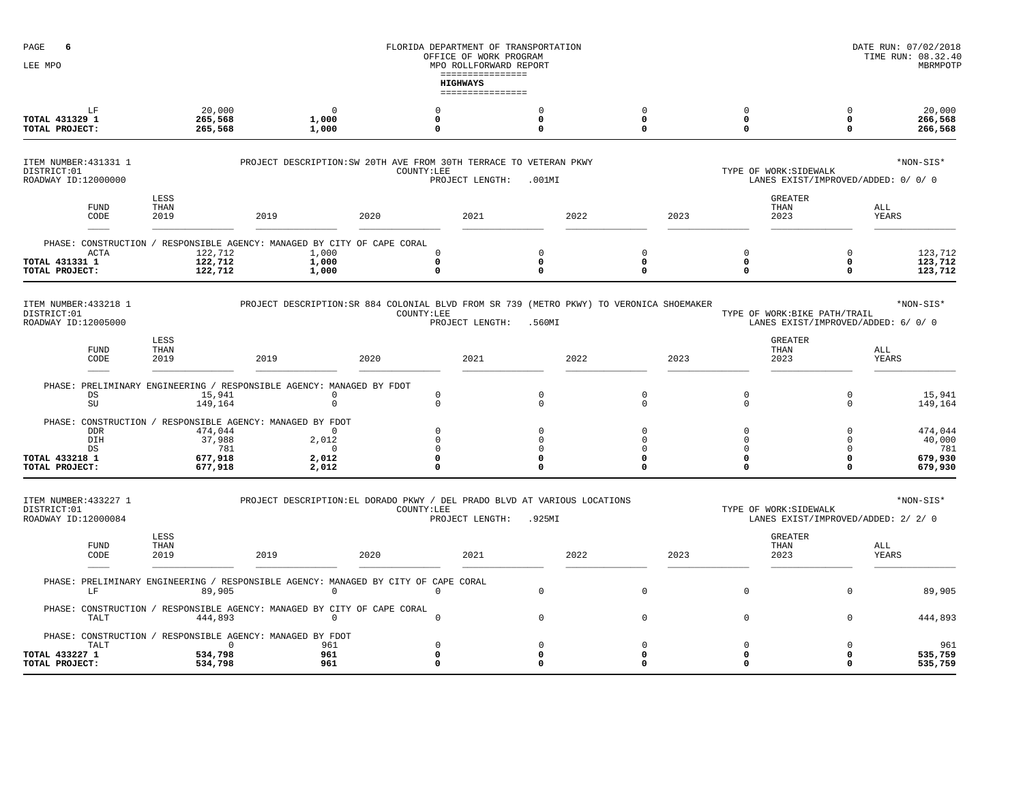| PAGE<br>.6                                                  |                                  |                                                |                                                                                                            |      | FLORIDA DEPARTMENT OF TRANSPORTATION<br>OFFICE OF WORK PROGRAM |                                                          |                                                          |      |                                                          |                                                                     | DATE RUN: 07/02/2018<br>TIME RUN: 08.32.40     |
|-------------------------------------------------------------|----------------------------------|------------------------------------------------|------------------------------------------------------------------------------------------------------------|------|----------------------------------------------------------------|----------------------------------------------------------|----------------------------------------------------------|------|----------------------------------------------------------|---------------------------------------------------------------------|------------------------------------------------|
| LEE MPO                                                     |                                  |                                                |                                                                                                            |      | MPO ROLLFORWARD REPORT<br>----------------<br><b>HIGHWAYS</b>  |                                                          |                                                          |      |                                                          |                                                                     | MBRMPOTF                                       |
| TOTAL 431329 1<br>TOTAL PROJECT:                            | LF                               | 20,000<br>265,568<br>265,568                   | $\Omega$<br>1,000<br>1,000                                                                                 |      | ================<br>$\Omega$<br>$\mathbf 0$<br>$\Omega$        | $\mathbf 0$<br>$\mathbf 0$<br>$\Omega$                   | 0<br>0<br>$\mathbf 0$                                    |      | 0<br>0<br>$\mathbf 0$                                    | 0<br>0<br>0                                                         | 20,000<br>266,568<br>266,568                   |
| ITEM NUMBER: 431331 1<br>DISTRICT:01<br>ROADWAY ID:12000000 |                                  |                                                | PROJECT DESCRIPTION: SW 20TH AVE FROM 30TH TERRACE TO VETERAN PKWY                                         |      | COUNTY:LEE<br>PROJECT LENGTH:                                  | .001MT                                                   |                                                          |      |                                                          | TYPE OF WORK: SIDEWALK<br>LANES EXIST/IMPROVED/ADDED: 0/ 0/ 0       | *NON-SIS*                                      |
|                                                             | FUND<br>CODE                     | LESS<br>THAN<br>2019                           | 2019                                                                                                       | 2020 | 2021                                                           |                                                          | 2022                                                     | 2023 |                                                          | <b>GREATER</b><br>THAN<br>2023                                      | ALL<br>YEARS                                   |
| TOTAL 431331 1<br>TOTAL PROJECT:                            | PHASE: CONSTRUCTION<br>ACTA      | 122,712<br>122,712<br>122,712                  | RESPONSIBLE AGENCY: MANAGED BY CITY OF CAPE CORAL<br>1,000<br>1,000<br>1,000                               |      | $\Omega$<br>0<br>$\Omega$                                      | $\Omega$<br>0<br>$\Omega$                                | $\mathbf 0$<br>$\mathbf 0$<br>$\Omega$                   |      | $\Omega$<br>$\mathbf 0$<br>$\mathbf 0$                   | $\Omega$<br>$\mathbf 0$<br>0                                        | 123,712<br>123,712<br>123,712                  |
| ITEM NUMBER: 433218 1<br>DISTRICT:01<br>ROADWAY ID:12005000 |                                  |                                                | PROJECT DESCRIPTION: SR 884 COLONIAL BLVD FROM SR 739 (METRO PKWY) TO VERONICA SHOEMAKER                   |      | COUNTY:LEE<br>PROJECT LENGTH:                                  | .560MI                                                   |                                                          |      |                                                          | TYPE OF WORK:BIKE PATH/TRAIL<br>LANES EXIST/IMPROVED/ADDED: 6/ 0/ 0 | *NON-SIS*                                      |
|                                                             | FUND<br>CODE                     | LESS<br>THAN<br>2019                           | 2019                                                                                                       | 2020 | 2021                                                           |                                                          | 2022                                                     | 2023 |                                                          | <b>GREATER</b><br>THAN<br>2023                                      | ALL<br>YEARS                                   |
|                                                             | DS<br>$\mathrm{SU}$              | 15,941<br>149,164                              | PHASE: PRELIMINARY ENGINEERING / RESPONSIBLE AGENCY: MANAGED BY FDOT<br>$^{\circ}$<br>$\mathbb O$          |      | $\mathbf 0$<br>$\mathbb O$                                     | $\mathbf 0$<br>$\mathsf 0$                               | 0<br>$\mathbf 0$                                         |      | 0<br>$\mathbf 0$                                         | $\mathbf 0$<br>$\mathsf{O}$                                         | 15,941<br>149,164                              |
| TOTAL 433218 1<br>TOTAL PROJECT:                            | <b>DDR</b><br>DIH<br>$_{\rm DS}$ | 474,044<br>37,988<br>781<br>677,918<br>677,918 | PHASE: CONSTRUCTION / RESPONSIBLE AGENCY: MANAGED BY FDOT<br>$\Omega$<br>2,012<br>$\cap$<br>2,012<br>2,012 |      | $\Omega$<br>$\Omega$<br>$\cap$<br>$\Omega$<br>$\Omega$         | $\Omega$<br>$\Omega$<br>$\Omega$<br>$\Omega$<br>$\Omega$ | $\Omega$<br>$\Omega$<br>$\Omega$<br>$\Omega$<br>$\Omega$ |      | $\Omega$<br>$\Omega$<br>$\Omega$<br>$\Omega$<br>$\Omega$ | $\Omega$<br>$\Omega$<br>$\Omega$<br>$\Omega$<br>0                   | 474,044<br>40,000<br>781<br>679,930<br>679,930 |
| ITEM NUMBER: 433227 1<br>DISTRICT:01<br>ROADWAY ID:12000084 |                                  |                                                | PROJECT DESCRIPTION: EL DORADO PKWY / DEL PRADO BLVD AT VARIOUS LOCATIONS                                  |      | COUNTY: LEE<br>PROJECT LENGTH:                                 | .925MI                                                   |                                                          |      |                                                          | TYPE OF WORK: SIDEWALK<br>LANES EXIST/IMPROVED/ADDED: 2/ 2/ 0       | *NON-SIS*                                      |
|                                                             | FUND<br>CODE                     | LESS<br>THAN<br>2019                           | 2019                                                                                                       | 2020 | 2021                                                           |                                                          | 2022                                                     | 2023 |                                                          | <b>GREATER</b><br>THAN<br>2023                                      | ALL<br>YEARS                                   |
|                                                             | LF                               | 89,905                                         | PHASE: PRELIMINARY ENGINEERING / RESPONSIBLE AGENCY: MANAGED BY CITY OF CAPE CORAL<br>$\Omega$             |      | $\Omega$                                                       | $\mathbf 0$                                              | $\Omega$                                                 |      | $\Omega$                                                 | $\Omega$                                                            | 89,905                                         |
|                                                             | PHASE: CONSTRUCTION<br>TALT      | 444,893                                        | / RESPONSIBLE AGENCY: MANAGED BY CITY OF CAPE CORAL<br>$^{\circ}$                                          |      | $\Omega$                                                       | $\mathsf 0$                                              | $\Omega$                                                 |      | $\mathbf 0$                                              | 0                                                                   | 444,893                                        |
| TOTAL 433227 1<br>TOTAL PROJECT:                            | TALT                             | $\cap$<br>534,798<br>534,798                   | PHASE: CONSTRUCTION / RESPONSIBLE AGENCY: MANAGED BY FDOT<br>961<br>961<br>961                             |      | $\Omega$<br>$\mathbf 0$<br>$\mathbf 0$                         | $\Omega$<br>$\Omega$<br>0                                | $\Omega$<br>$\mathbf 0$<br>$\Omega$                      |      | 0<br>$\mathbf 0$<br>$\Omega$                             | $\Omega$<br>0<br>0                                                  | 961<br>535,759<br>535,759                      |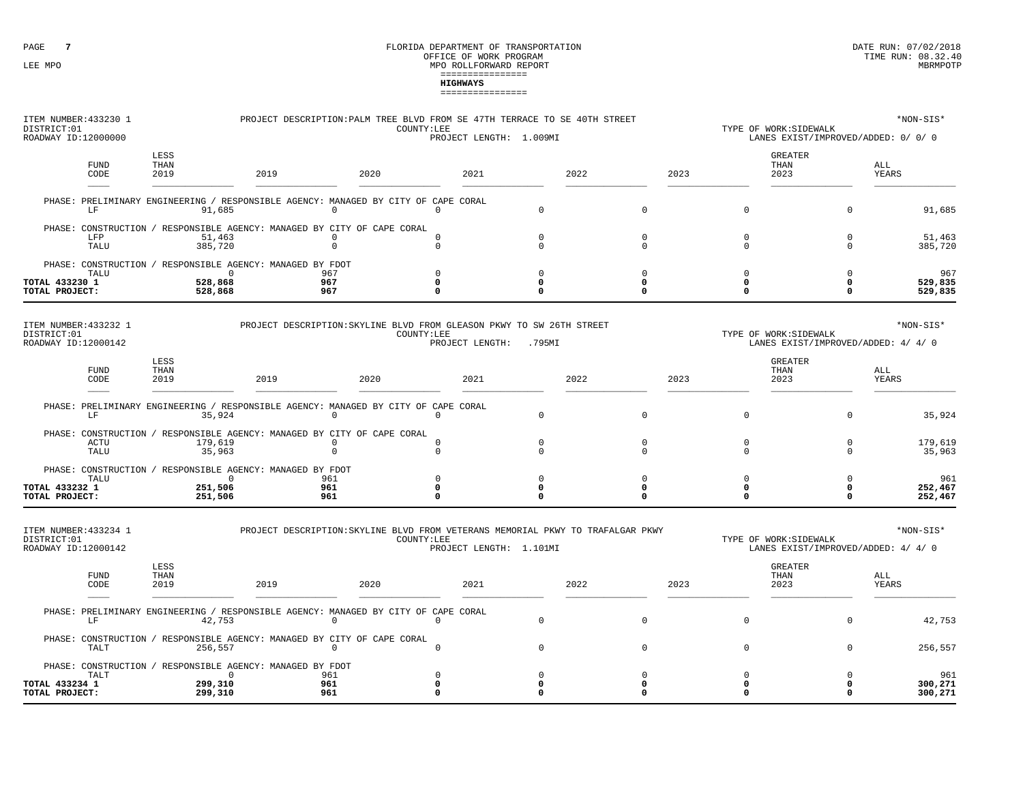| ITEM NUMBER: 433230 1<br>DISTRICT:01<br>ROADWAY ID:12000000 |                      |                           | PROJECT DESCRIPTION: PALM TREE BLVD FROM SE 47TH TERRACE TO SE 40TH STREET                        |      | COUNTY:LEE<br>PROJECT LENGTH: 1.009MI |                          |      |                         |      |                  | TYPE OF WORK: SIDEWALK<br>LANES EXIST/IMPROVED/ADDED: 0/ 0/ 0 | *NON-SIS*          |
|-------------------------------------------------------------|----------------------|---------------------------|---------------------------------------------------------------------------------------------------|------|---------------------------------------|--------------------------|------|-------------------------|------|------------------|---------------------------------------------------------------|--------------------|
|                                                             | <b>FUND</b><br>CODE  | LESS<br>THAN<br>2019      | 2019                                                                                              | 2020 | 2021                                  |                          | 2022 |                         | 2023 |                  | GREATER<br>THAN<br>2023                                       | ALL<br>YEARS       |
|                                                             | LF                   | 91,685                    | PHASE: PRELIMINARY ENGINEERING / RESPONSIBLE AGENCY: MANAGED BY CITY OF CAPE CORAL<br>$\mathbf 0$ |      | $\mathbf{0}$                          | $\mathbf 0$              |      | $\mathbf 0$             |      | $\mathbf 0$      | $\mathbf 0$                                                   | 91,685             |
|                                                             |                      |                           | PHASE: CONSTRUCTION / RESPONSIBLE AGENCY: MANAGED BY CITY OF CAPE CORAL                           |      |                                       |                          |      |                         |      |                  |                                                               |                    |
|                                                             | LFP<br>TALU          | 51,463<br>385,720         | 0<br>$\mathbf 0$                                                                                  |      | $\mathbf 0$<br>$\mathbf 0$            | $\mathbf 0$<br>$\Omega$  |      | $\mathbf 0$<br>$\Omega$ |      | 0<br>$\mathbf 0$ | $\Omega$<br>$\mathbf 0$                                       | 51,463<br>385,720  |
|                                                             |                      |                           | PHASE: CONSTRUCTION / RESPONSIBLE AGENCY: MANAGED BY FDOT                                         |      |                                       |                          |      |                         |      |                  |                                                               |                    |
| TOTAL 433230 1                                              | TALU                 | $\overline{0}$<br>528,868 | 967<br>967                                                                                        |      | $\mathbf 0$<br>0                      | $\Omega$<br>$\mathbf 0$  |      | $\Omega$<br>$\mathbf 0$ |      | $\Omega$<br>0    | $\Omega$<br>$\Omega$                                          | 967<br>529,835     |
| TOTAL PROJECT:                                              |                      | 528,868                   | 967                                                                                               |      | 0                                     | $\mathbf 0$              |      | $\mathbf 0$             |      | 0                | $\mathbf 0$                                                   | 529,835            |
| ITEM NUMBER: 433232 1                                       |                      |                           | PROJECT DESCRIPTION: SKYLINE BLVD FROM GLEASON PKWY TO SW 26TH STREET                             |      |                                       |                          |      |                         |      |                  |                                                               | *NON-SIS*          |
| DISTRICT:01<br>ROADWAY ID:12000142                          |                      |                           |                                                                                                   |      | COUNTY:LEE<br>PROJECT LENGTH: .795MI  |                          |      |                         |      |                  | TYPE OF WORK: SIDEWALK<br>LANES EXIST/IMPROVED/ADDED: 4/ 4/ 0 |                    |
|                                                             | FUND<br>CODE         | LESS<br>THAN<br>2019      | 2019                                                                                              | 2020 | 2021                                  |                          | 2022 |                         | 2023 |                  | GREATER<br>THAN<br>2023                                       | ALL<br>YEARS       |
|                                                             |                      |                           |                                                                                                   |      |                                       |                          |      |                         |      |                  |                                                               |                    |
|                                                             | $\rm LF$             | 35,924                    | PHASE: PRELIMINARY ENGINEERING / RESPONSIBLE AGENCY: MANAGED BY CITY OF CAPE CORAL<br>$\mathbf 0$ |      | $\mathbf 0$                           | $\Omega$                 |      | $\mathbf 0$             |      | 0                | $\Omega$                                                      | 35,924             |
|                                                             |                      |                           | PHASE: CONSTRUCTION / RESPONSIBLE AGENCY: MANAGED BY CITY OF CAPE CORAL                           |      |                                       |                          |      |                         |      |                  |                                                               |                    |
|                                                             | ACTU<br>TALU         | 179,619<br>35,963         | $\Omega$<br>0                                                                                     |      | $\mathbf 0$<br>0                      | $\Omega$<br>$\mathbf 0$  |      | $\Omega$<br>0           |      | $\mathbf 0$<br>0 | $\Omega$<br>$\overline{0}$                                    | 179,619<br>35,963  |
|                                                             |                      |                           | PHASE: CONSTRUCTION / RESPONSIBLE AGENCY: MANAGED BY FDOT                                         |      |                                       |                          |      |                         |      |                  |                                                               |                    |
|                                                             | TALU                 |                           | $\overline{0}$<br>961                                                                             |      | 0                                     | $\mathsf 0$              |      | $\mathbf 0$             |      | $\Omega$         | $\mathbf 0$                                                   | 961                |
| TOTAL 433232 1<br>TOTAL PROJECT:                            |                      | 251,506<br>251,506        | 961<br>961                                                                                        |      | 0<br>$\mathbf 0$                      | $\mathbf{o}$<br>$\Omega$ |      | 0<br>$\mathbf 0$        |      | 0<br>0           | $\Omega$<br>$\Omega$                                          | 252,467<br>252,467 |
|                                                             |                      |                           |                                                                                                   |      |                                       |                          |      |                         |      |                  |                                                               |                    |
| ITEM NUMBER: 433234 1<br>DISTRICT:01                        |                      |                           | PROJECT DESCRIPTION: SKYLINE BLVD FROM VETERANS MEMORIAL PKWY TO TRAFALGAR PKWY                   |      | COUNTY:LEE                            |                          |      |                         |      |                  | TYPE OF WORK: SIDEWALK                                        | *NON-SIS*          |
| ROADWAY ID:12000142                                         |                      |                           |                                                                                                   |      | PROJECT LENGTH: 1.101MI               |                          |      |                         |      |                  | LANES EXIST/IMPROVED/ADDED: 4/ 4/ 0                           |                    |
|                                                             | ${\tt FUND}$<br>CODE | LESS<br>THAN<br>2019      | 2019                                                                                              | 2020 | 2021                                  |                          | 2022 |                         | 2023 |                  | <b>GREATER</b><br>THAN<br>2023                                | ALL<br>YEARS       |
|                                                             |                      |                           |                                                                                                   |      |                                       |                          |      |                         |      |                  |                                                               |                    |
|                                                             | LF                   | 42,753                    | PHASE: PRELIMINARY ENGINEERING / RESPONSIBLE AGENCY: MANAGED BY CITY OF CAPE CORAL<br>$\mathbf 0$ |      | $\Omega$                              | $\mathbf 0$              |      | $\mathbf 0$             |      | 0                | $\Omega$                                                      | 42,753             |
|                                                             | TALT                 | 256,557                   | PHASE: CONSTRUCTION / RESPONSIBLE AGENCY: MANAGED BY CITY OF CAPE CORAL<br>0                      |      | $\mathbf 0$                           | $\mathbf 0$              |      | 0                       |      | $\mathbf 0$      | $\mathbf 0$                                                   | 256,557            |
|                                                             |                      |                           | PHASE: CONSTRUCTION / RESPONSIBLE AGENCY: MANAGED BY FDOT                                         |      |                                       |                          |      |                         |      |                  |                                                               |                    |
|                                                             | TALT                 |                           | $\overline{0}$<br>961                                                                             |      | $\mathbf{0}$                          | $\Omega$                 |      | $\Omega$                |      | $\Omega$         | $\Omega$                                                      | 961                |
| TOTAL 433234 1<br>TOTAL PROJECT:                            |                      | 299,310<br>299,310        | 961<br>961                                                                                        |      | $\mathbf 0$<br>$\Omega$               | $\mathbf 0$<br>$\Omega$  |      | $\mathbf 0$<br>$\Omega$ |      | 0<br>U           | $\Omega$<br>$\Omega$                                          | 300,271<br>300,271 |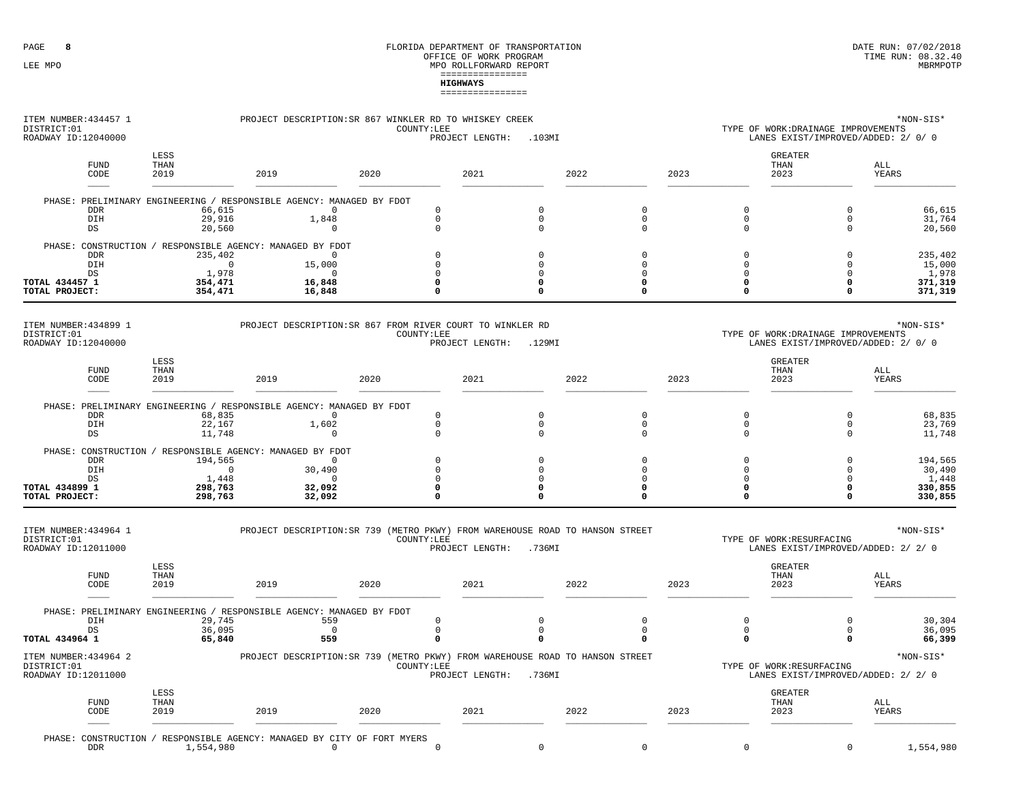| ITEM NUMBER: 434457 1<br>DISTRICT:01<br>ROADWAY ID:12040000 |                            | PROJECT DESCRIPTION: SR 867 WINKLER RD TO WHISKEY CREEK                       |      | COUNTY:LEE                                 | PROJECT LENGTH: | .103MI                                 |                                        |      |                                 | TYPE OF WORK: DRAINAGE IMPROVEMENTS<br>LANES EXIST/IMPROVED/ADDED: 2/ 0/ 0 | *NON-SIS*                  |
|-------------------------------------------------------------|----------------------------|-------------------------------------------------------------------------------|------|--------------------------------------------|-----------------|----------------------------------------|----------------------------------------|------|---------------------------------|----------------------------------------------------------------------------|----------------------------|
| FUND<br>CODE                                                | LESS<br>THAN<br>2019       | 2019                                                                          | 2020 |                                            | 2021            |                                        | 2022                                   | 2023 |                                 | <b>GREATER</b><br>THAN<br>2023                                             | ALL<br>YEARS               |
|                                                             |                            | PHASE: PRELIMINARY ENGINEERING / RESPONSIBLE AGENCY: MANAGED BY FDOT          |      |                                            |                 |                                        |                                        |      |                                 |                                                                            |                            |
| <b>DDR</b><br>DIH<br>$_{\rm DS}$                            | 66,615<br>29,916<br>20,560 | $\Omega$<br>1,848<br>$^{\circ}$                                               |      | $\mathbf 0$<br>$\mathsf{O}$<br>$\mathbb O$ |                 | $\Omega$<br>$\mathbf 0$<br>$\mathbf 0$ | $\Omega$<br>$\mathbb O$<br>$\mathbf 0$ |      | $\mathbf 0$<br>$\mathsf 0$<br>0 | $\Omega$<br>0<br>0                                                         | 66,615<br>31,764<br>20,560 |
|                                                             |                            | PHASE: CONSTRUCTION / RESPONSIBLE AGENCY: MANAGED BY FDOT                     |      |                                            |                 |                                        |                                        |      |                                 |                                                                            |                            |
| <b>DDR</b><br>DIH                                           | 235,402<br>$\mathbf 0$     | $\circ$<br>15,000                                                             |      | $\mathbf 0$<br>0                           |                 | $\mathbf 0$<br>$\Omega$                | $\Omega$<br>$\Omega$                   |      | $\mathbf 0$<br>$\mathbf 0$      | $\Omega$<br>$\Omega$                                                       | 235,402<br>15,000          |
| DS<br>TOTAL 434457 1                                        | 1,978<br>354,471           | $\Omega$<br>16,848                                                            |      | 0<br>0                                     |                 | $\Omega$<br>0                          | $\Omega$<br>$\Omega$                   |      | $\mathbf 0$<br>0                | $\Omega$<br>$\Omega$                                                       | 1,978<br>371,319           |
| TOTAL PROJECT:                                              | 354,471                    | 16,848                                                                        |      | 0                                          |                 | 0                                      | 0                                      |      | 0                               | $\Omega$                                                                   | 371,319                    |
| ITEM NUMBER: 434899 1<br>DISTRICT:01<br>ROADWAY ID:12040000 |                            | PROJECT DESCRIPTION: SR 867 FROM RIVER COURT TO WINKLER RD                    |      | COUNTY:LEE                                 | PROJECT LENGTH: | .129MI                                 |                                        |      |                                 | TYPE OF WORK: DRAINAGE IMPROVEMENTS<br>LANES EXIST/IMPROVED/ADDED: 2/ 0/ 0 | *NON-SIS*                  |
| <b>FUND</b><br>CODE                                         | LESS<br>THAN<br>2019       | 2019                                                                          | 2020 |                                            | 2021            |                                        | 2022                                   | 2023 |                                 | GREATER<br>THAN<br>2023                                                    | ALL<br>YEARS               |
|                                                             |                            | PHASE: PRELIMINARY ENGINEERING / RESPONSIBLE AGENCY: MANAGED BY FDOT          |      |                                            |                 |                                        |                                        |      |                                 |                                                                            |                            |
| <b>DDR</b>                                                  | 68,835                     | $\Omega$                                                                      |      | 0<br>$\mathbb O$                           |                 | $\mathbf 0$<br>$\mathsf 0$             | $\mathbf 0$<br>$\mathbf 0$             |      | 0<br>$\mathsf 0$                | $\mathbf 0$<br>$\mathbf 0$                                                 | 68,835<br>23,769           |
| DIH<br>DS                                                   | 22,167<br>11,748           | 1,602<br>$\Omega$                                                             |      | 0                                          |                 | $\Omega$                               | $\Omega$                               |      | 0                               | 0                                                                          | 11,748                     |
| <b>DDR</b>                                                  | 194,565                    | PHASE: CONSTRUCTION / RESPONSIBLE AGENCY: MANAGED BY FDOT<br>$^{\circ}$       |      | 0                                          |                 | $\mathbf 0$                            | $\mathbf 0$                            |      | 0                               | $\mathbf 0$                                                                | 194,565                    |
| DIH                                                         | $\Omega$                   | 30,490                                                                        |      | $\mathbf 0$                                |                 | $\Omega$                               | $\mathbf 0$                            |      | $\mathbf 0$                     | $\Omega$                                                                   | 30,490                     |
| DS<br>TOTAL 434899 1                                        | 1,448<br>298,763           | $\Omega$<br>32,092                                                            |      | $\mathbb O$<br>0                           |                 | $\Omega$<br>$\mathbf 0$                | $\Omega$<br>0                          |      | $\mathsf 0$<br>0                | $\Omega$<br>0                                                              | 1,448<br>330,855           |
| TOTAL PROJECT:                                              | 298,763                    | 32,092                                                                        |      | $\Omega$                                   |                 | $\Omega$                               | $\Omega$                               |      | $\Omega$                        | $\Omega$                                                                   | 330,855                    |
| ITEM NUMBER: 434964 1<br>DISTRICT:01<br>ROADWAY ID:12011000 |                            | PROJECT DESCRIPTION: SR 739 (METRO PKWY) FROM WAREHOUSE ROAD TO HANSON STREET |      | COUNTY:LEE                                 | PROJECT LENGTH: | .736MI                                 |                                        |      |                                 | TYPE OF WORK:RESURFACING<br>LANES EXIST/IMPROVED/ADDED: 2/ 2/ 0            | *NON-SIS*                  |
|                                                             | LESS                       |                                                                               |      |                                            |                 |                                        |                                        |      |                                 | <b>GREATER</b>                                                             |                            |
| <b>FUND</b><br>CODE                                         | THAN<br>2019               | 2019                                                                          | 2020 |                                            | 2021            |                                        | 2022                                   | 2023 |                                 | THAN<br>2023                                                               | ALL<br>YEARS               |
|                                                             |                            | PHASE: PRELIMINARY ENGINEERING / RESPONSIBLE AGENCY: MANAGED BY FDOT          |      |                                            |                 |                                        |                                        |      |                                 |                                                                            |                            |
| DIH<br>DS                                                   | 29,745<br>36,095           | 559<br>$\overline{0}$                                                         |      | $\mathbb O$<br>0                           |                 | $\mathsf 0$<br>0                       | $\mathbf 0$<br>$\mathbf 0$             |      | $\mathsf 0$<br>0                | $\mathbf 0$<br>0                                                           | 30,304<br>36,095           |
| TOTAL 434964 1                                              | 65,840                     | 559                                                                           |      | $\mathbf 0$                                |                 | $\Omega$                               | 0                                      |      | 0                               | 0                                                                          | 66,399                     |
| ITEM NUMBER: 434964 2<br>DISTRICT:01<br>ROADWAY ID:12011000 |                            | PROJECT DESCRIPTION: SR 739 (METRO PKWY) FROM WAREHOUSE ROAD TO HANSON STREET |      | COUNTY:LEE                                 | PROJECT LENGTH: | .736MI                                 |                                        |      |                                 | TYPE OF WORK:RESURFACING<br>LANES EXIST/IMPROVED/ADDED: 2/ 2/ 0            | *NON-SIS*                  |
|                                                             | LESS                       |                                                                               |      |                                            |                 |                                        |                                        |      |                                 | <b>GREATER</b>                                                             |                            |
| ${\tt FUND}$<br>CODE                                        | THAN<br>2019               | 2019                                                                          | 2020 |                                            | 2021            |                                        | 2022                                   | 2023 |                                 | THAN<br>2023                                                               | ALL<br>YEARS               |

PHASE: CONSTRUCTION / RESPONSIBLE AGENCY: MANAGED BY CITY OF FORT MYERS DDR  $1,554,980$  0  $\sim$  0 DDR

0 0 0 0 0 0 0 1,554,980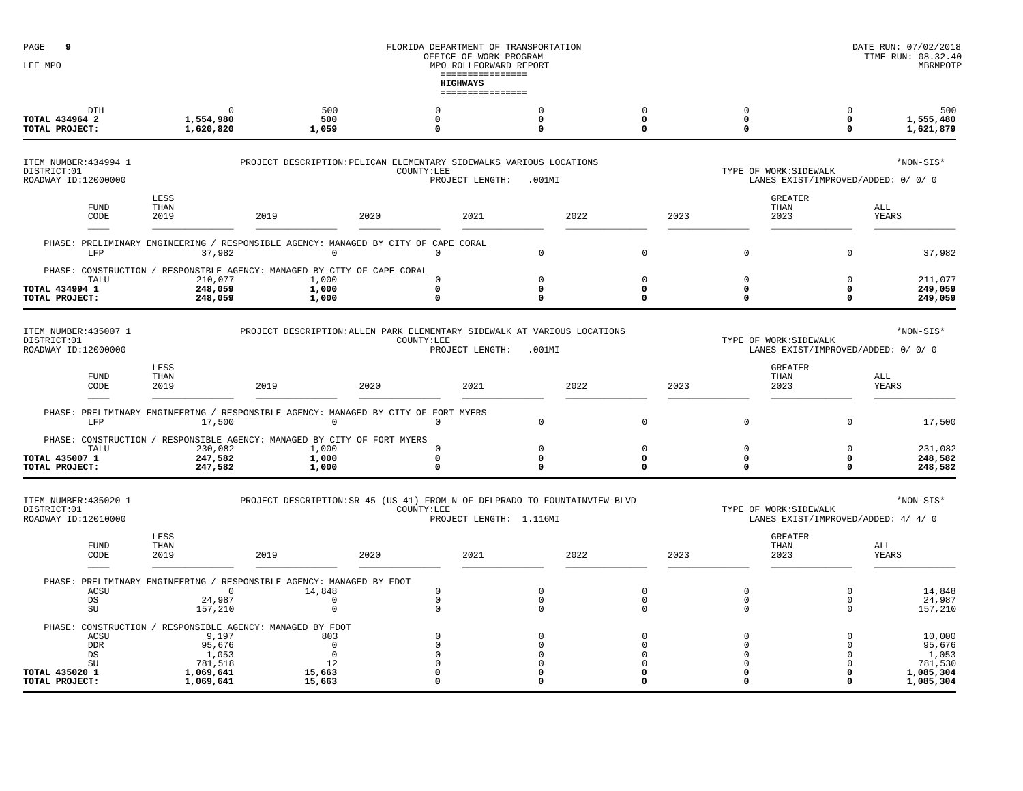| 9<br>PAGE                                                   |                                |                                                               |                                                                                                                    |             | OFFICE OF WORK PROGRAM                                                            | FLORIDA DEPARTMENT OF TRANSPORTATION                                   |                                                                         |      |                                                               |                                                      | DATE RUN: 07/02/2018<br>TIME RUN: 08.32.40                     |
|-------------------------------------------------------------|--------------------------------|---------------------------------------------------------------|--------------------------------------------------------------------------------------------------------------------|-------------|-----------------------------------------------------------------------------------|------------------------------------------------------------------------|-------------------------------------------------------------------------|------|---------------------------------------------------------------|------------------------------------------------------|----------------------------------------------------------------|
| LEE MPO                                                     |                                |                                                               |                                                                                                                    |             | MPO ROLLFORWARD REPORT<br>================<br><b>HIGHWAYS</b><br>================ |                                                                        |                                                                         |      |                                                               |                                                      | MBRMPOTE                                                       |
| TOTAL 434964 2<br>TOTAL PROJECT:                            | DIH                            | $\Omega$<br>1,554,980<br>1,620,820                            | 500<br>500<br>1,059                                                                                                |             | $^{\circ}$<br>0<br>$\mathsf{o}\,$                                                 | $\mathbf 0$<br>0<br>$\mathbf 0$                                        | $\mathbf 0$<br>0<br>$\Omega$                                            |      | $\circ$<br>0<br>0                                             | $\Omega$<br>0<br>0                                   | 500<br>1,555,480<br>1,621,879                                  |
| ITEM NUMBER: 434994 1<br>DISTRICT:01<br>ROADWAY ID:12000000 |                                |                                                               | PROJECT DESCRIPTION: PELICAN ELEMENTARY SIDEWALKS VARIOUS LOCATIONS                                                | COUNTY:LEE  | PROJECT LENGTH:                                                                   | $.001$ MI                                                              |                                                                         |      | TYPE OF WORK: SIDEWALK<br>LANES EXIST/IMPROVED/ADDED: 0/ 0/ 0 |                                                      | *NON-SIS*                                                      |
|                                                             | <b>FUND</b><br>$\texttt{CODE}$ | LESS<br>THAN<br>2019                                          | 2019                                                                                                               | 2020        | 2021                                                                              | 2022                                                                   |                                                                         | 2023 | <b>GREATER</b><br>THAN<br>2023                                |                                                      | ALL<br>YEARS                                                   |
|                                                             | LFP                            | 37,982                                                        | PHASE: PRELIMINARY ENGINEERING / RESPONSIBLE AGENCY: MANAGED BY CITY OF CAPE CORAL<br>$\mathbf 0$                  |             | $^{\circ}$                                                                        | $\mathbf 0$                                                            | $\Omega$                                                                |      | $\mathbf 0$                                                   | $\Omega$                                             | 37,982                                                         |
| TOTAL 434994 1<br>TOTAL PROJECT:                            | TALU                           | 210,077<br>248,059<br>248,059                                 | PHASE: CONSTRUCTION / RESPONSIBLE AGENCY: MANAGED BY CITY OF CAPE CORAL<br>1,000<br>1,000<br>1,000                 |             | $^{\circ}$<br>$\Omega$<br>$\Omega$                                                | $\circ$<br>$\mathbf 0$<br>$\mathbf 0$                                  | $\mathbf 0$<br>$\Omega$<br>$\Omega$                                     |      | $\mathbf 0$<br>$\Omega$<br>$\Omega$                           | $\Omega$<br>$^{\circ}$<br>$^{\circ}$                 | 211,077<br>249,059<br>249,059                                  |
| ITEM NUMBER: 435007 1<br>DISTRICT:01<br>ROADWAY ID:12000000 |                                |                                                               | PROJECT DESCRIPTION: ALLEN PARK ELEMENTARY SIDEWALK AT VARIOUS LOCATIONS                                           | COUNTY: LEE | PROJECT LENGTH:                                                                   | $.001$ MI                                                              |                                                                         |      | TYPE OF WORK: SIDEWALK<br>LANES EXIST/IMPROVED/ADDED: 0/ 0/ 0 |                                                      | *NON-SIS*                                                      |
|                                                             | <b>FUND</b><br>CODE            | LESS<br>THAN<br>2019                                          | 2019                                                                                                               | 2020        | 2021                                                                              | 2022                                                                   |                                                                         | 2023 | <b>GREATER</b><br>THAN<br>2023                                |                                                      | ALL<br>YEARS                                                   |
|                                                             | LFP                            | 17,500                                                        | PHASE: PRELIMINARY ENGINEERING / RESPONSIBLE AGENCY: MANAGED BY CITY OF FORT MYERS<br>0                            |             | $\Omega$                                                                          | $\circ$                                                                | $\Omega$                                                                |      | $\mathbf 0$                                                   | $\Omega$                                             | 17,500                                                         |
| TOTAL 435007 1<br>TOTAL PROJECT:                            | TALU                           | 230,082<br>247,582<br>247,582                                 | PHASE: CONSTRUCTION / RESPONSIBLE AGENCY: MANAGED BY CITY OF FORT MYERS<br>1,000<br>1,000<br>1,000                 |             | $\overline{0}$<br>0<br>$\Omega$                                                   | $\mathsf{O}$<br>0<br>$\mathbf 0$                                       | $\mathbb O$<br>$\mathbf 0$<br>$\Omega$                                  |      | 0<br>0<br>$\Omega$                                            | $\mathbf 0$<br>$\mathbf{o}$<br>$^{\circ}$            | 231,082<br>248,582<br>248,582                                  |
| ITEM NUMBER: 435020 1<br>DISTRICT:01<br>ROADWAY ID:12010000 |                                |                                                               | PROJECT DESCRIPTION: SR 45 (US 41) FROM N OF DELPRADO TO FOUNTAINVIEW BLVD                                         | COUNTY:LEE  | PROJECT LENGTH: 1.116MI                                                           |                                                                        |                                                                         |      | TYPE OF WORK: SIDEWALK<br>LANES EXIST/IMPROVED/ADDED: 4/ 4/ 0 |                                                      | *NON-SIS*                                                      |
|                                                             | <b>FUND</b><br>CODE            | LESS<br>THAN<br>2019                                          | 2019                                                                                                               | 2020        | 2021                                                                              | 2022                                                                   |                                                                         | 2023 | <b>GREATER</b><br>THAN<br>2023                                |                                                      | ALL<br>YEARS                                                   |
| DS<br>SU                                                    | ACSU                           | $\circ$<br>24,987<br>157,210                                  | PHASE: PRELIMINARY ENGINEERING / RESPONSIBLE AGENCY: MANAGED BY FDOT<br>14,848<br>0<br>$\mathbf 0$                 |             | $\mathbb O$<br>$\mathbf 0$<br>$\mathbf 0$                                         | $\mathsf{O}$<br>$\circ$<br>$\mathbf 0$                                 | $\mathbb O$<br>$\mathbf 0$<br>$\mathbf 0$                               |      | $\mathsf{O}\xspace$<br>$\circ$<br>$\mathbf 0$                 | $\mathbf 0$<br>0<br>0                                | 14,848<br>24,987<br>157,210                                    |
| DS<br>SU<br>TOTAL 435020 1<br>TOTAL PROJECT:                | ACSU<br><b>DDR</b>             | 9,197<br>95,676<br>1,053<br>781,518<br>1,069,641<br>1,069,641 | PHASE: CONSTRUCTION / RESPONSIBLE AGENCY: MANAGED BY FDOT<br>803<br>$\Omega$<br>$\Omega$<br>12<br>15,663<br>15,663 |             | $\Omega$<br>$\Omega$<br>$\cap$<br>$\mathbf 0$<br>$\Omega$<br>$\Omega$             | $\circ$<br>$\Omega$<br>$\Omega$<br>$\mathbf 0$<br>$\Omega$<br>$\Omega$ | $\Omega$<br>$\Omega$<br>$\Omega$<br>$\mathbf 0$<br>$\Omega$<br>$\Omega$ |      | $\Omega$<br>$\Omega$<br>$\Omega$<br>$\Omega$<br>0<br>$\Omega$ | $\Omega$<br>$\Omega$<br>$\Omega$<br>$\cap$<br>0<br>0 | 10,000<br>95,676<br>1,053<br>781,530<br>1,085,304<br>1,085,304 |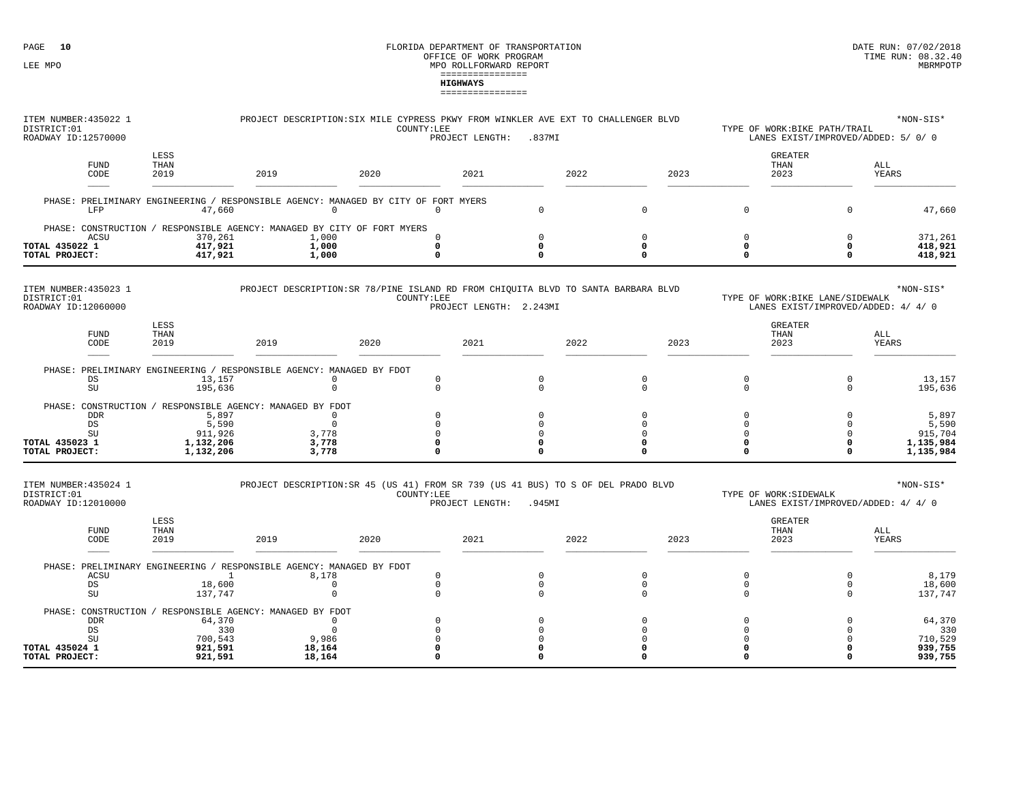| ITEM NUMBER: 435022 1<br>DISTRICT:01<br>ROADWAY ID:12570000 |                               |                      |                                                | PROJECT DESCRIPTION: SIX MILE CYPRESS PKWY FROM WINKLER AVE EXT TO CHALLENGER BLVD                                |      | COUNTY:LEE                                             | PROJECT LENGTH:         | .837MI                                                 |      |                                                   |      |                                              | TYPE OF WORK:BIKE PATH/TRAIL<br>LANES EXIST/IMPROVED/ADDED: 5/ 0/ 0    | *NON-SIS*                                      |
|-------------------------------------------------------------|-------------------------------|----------------------|------------------------------------------------|-------------------------------------------------------------------------------------------------------------------|------|--------------------------------------------------------|-------------------------|--------------------------------------------------------|------|---------------------------------------------------|------|----------------------------------------------|------------------------------------------------------------------------|------------------------------------------------|
|                                                             | <b>FUND</b><br>CODE           | LESS<br>THAN<br>2019 |                                                | 2019                                                                                                              | 2020 |                                                        | 2021                    |                                                        | 2022 |                                                   | 2023 |                                              | <b>GREATER</b><br>THAN<br>2023                                         | ALL<br>YEARS                                   |
|                                                             | LFP                           |                      | 47,660                                         | PHASE: PRELIMINARY ENGINEERING / RESPONSIBLE AGENCY: MANAGED BY CITY OF FORT MYERS<br>$^{\circ}$                  |      | $\Omega$                                               |                         | $\Omega$                                               |      | $\mathbf 0$                                       |      | $\overline{0}$                               | $\mathbf 0$                                                            | 47,660                                         |
|                                                             |                               |                      |                                                | PHASE: CONSTRUCTION / RESPONSIBLE AGENCY: MANAGED BY CITY OF FORT MYERS                                           |      |                                                        |                         |                                                        |      |                                                   |      |                                              |                                                                        |                                                |
| TOTAL 435022 1                                              | ACSU                          |                      | 370,261<br>417,921                             | 1,000<br>1,000                                                                                                    |      | $\Omega$<br>$\mathbf 0$                                |                         | $\Omega$<br>$\mathbf 0$                                |      | $\mathbf 0$<br>0                                  |      | $\mathbf 0$<br>$\mathbf 0$                   | $\mathbf 0$<br>0                                                       | 371,261<br>418,921                             |
| TOTAL PROJECT:                                              |                               |                      | 417,921                                        | 1,000                                                                                                             |      | $\Omega$                                               |                         | $^{\circ}$                                             |      | $\Omega$                                          |      | $\Omega$                                     | $\Omega$                                                               | 418,921                                        |
| ITEM NUMBER: 435023 1<br>DISTRICT:01<br>ROADWAY ID:12060000 |                               |                      |                                                | PROJECT DESCRIPTION: SR 78/PINE ISLAND RD FROM CHIQUITA BLVD TO SANTA BARBARA BLVD                                |      | COUNTY:LEE                                             | PROJECT LENGTH: 2.243MI |                                                        |      |                                                   |      |                                              | TYPE OF WORK:BIKE LANE/SIDEWALK<br>LANES EXIST/IMPROVED/ADDED: 4/ 4/ 0 | *NON-SIS*                                      |
|                                                             | <b>FUND</b><br>CODE           | LESS<br>THAN<br>2019 |                                                | 2019                                                                                                              | 2020 |                                                        | 2021                    |                                                        | 2022 |                                                   | 2023 |                                              | <b>GREATER</b><br>THAN<br>2023                                         | ALL<br>YEARS                                   |
|                                                             |                               |                      |                                                | PHASE: PRELIMINARY ENGINEERING / RESPONSIBLE AGENCY: MANAGED BY FDOT                                              |      |                                                        |                         |                                                        |      |                                                   |      |                                              |                                                                        |                                                |
|                                                             | DS<br>SU                      |                      | 13,157<br>195,636                              | $\circ$<br>$\mathbf{0}$                                                                                           |      | $\mathbf 0$<br>$\Omega$                                |                         | $\mathbf 0$<br>$\Omega$                                |      | $\mathbf 0$<br>$\mathbf 0$                        |      | $\mathbf 0$<br>$\overline{0}$                | $\mathbf 0$<br>$\Omega$                                                | 13,157<br>195,636                              |
|                                                             |                               |                      |                                                | PHASE: CONSTRUCTION / RESPONSIBLE AGENCY: MANAGED BY FDOT                                                         |      |                                                        |                         |                                                        |      |                                                   |      |                                              |                                                                        |                                                |
|                                                             | <b>DDR</b><br>$_{\rm DS}$     |                      | 5,897<br>5,590                                 | $\mathbf 0$<br>$\mathbf{0}$                                                                                       |      | $\Omega$<br>$\Omega$                                   |                         | $\Omega$<br>$\Omega$                                   |      | $\Omega$<br>$\Omega$                              |      | $\Omega$<br>$\Omega$                         | $\mathbf 0$<br>$\mathbf 0$                                             | 5,897<br>5,590                                 |
| TOTAL 435023 1                                              | $\mathrm{SU}$                 |                      | 911,926<br>1,132,206                           | 3,778<br>3,778                                                                                                    |      | $\Omega$<br>$\Omega$                                   |                         | $\mathbf{0}$<br>$\Omega$                               |      | $\Omega$<br>$\Omega$                              |      | $\Omega$<br>$\Omega$                         | $\Omega$<br>$\Omega$                                                   | 915,704<br>1,135,984                           |
| TOTAL PROJECT:                                              |                               |                      | 1,132,206                                      | 3,778                                                                                                             |      | $\Omega$                                               |                         | $\Omega$                                               |      | 0                                                 |      | $\mathbf 0$                                  | 0                                                                      | 1,135,984                                      |
| ITEM NUMBER: 435024 1<br>DISTRICT:01<br>ROADWAY ID:12010000 |                               |                      |                                                | PROJECT DESCRIPTION: SR 45 (US 41) FROM SR 739 (US 41 BUS) TO S OF DEL PRADO BLVD                                 |      | COUNTY:LEE                                             | PROJECT LENGTH:         | .945MT                                                 |      |                                                   |      |                                              | TYPE OF WORK: SIDEWALK<br>LANES EXIST/IMPROVED/ADDED: 4/ 4/ 0          | *NON-SIS*                                      |
|                                                             | FUND<br>CODE                  | LESS<br>THAN<br>2019 |                                                | 2019                                                                                                              | 2020 |                                                        | 2021                    |                                                        | 2022 |                                                   | 2023 |                                              | <b>GREATER</b><br>THAN<br>2023                                         | ALL<br>YEARS                                   |
|                                                             | ACSU<br>DS<br>SU              |                      | <sup>1</sup><br>18,600<br>137,747              | PHASE: PRELIMINARY ENGINEERING / RESPONSIBLE AGENCY: MANAGED BY FDOT<br>8,178<br>$\mathbf 0$<br>$\mathbf{0}$      |      | $\mathbf 0$<br>$\mathbb O$<br>$\Omega$                 |                         | $\Omega$<br>$\mathbf 0$<br>$\Omega$                    |      | $\mathbf 0$<br>$\mathbf 0$<br>$\Omega$            |      | $\mathbf 0$<br>$\circ$<br>$\Omega$           | $\mathbf 0$<br>$\mathbf 0$<br>$\Omega$                                 | 8,179<br>18,600<br>137,747                     |
| TOTAL 435024 1<br>TOTAL PROJECT:                            | <b>DDR</b><br><b>DS</b><br>SU |                      | 64,370<br>330<br>700,543<br>921,591<br>921,591 | PHASE: CONSTRUCTION / RESPONSIBLE AGENCY: MANAGED BY FDOT<br>$\mathbf 0$<br>$\Omega$<br>9,986<br>18,164<br>18,164 |      | $\Omega$<br>$\cap$<br>$\Omega$<br>$\Omega$<br>$\Omega$ |                         | $\Omega$<br>$\cap$<br>$\Omega$<br>$\Omega$<br>$\Omega$ |      | $\Omega$<br>$\Omega$<br>$\Omega$<br>$\Omega$<br>0 |      | $\Omega$<br>$\Omega$<br>$\Omega$<br>$\Omega$ | $\mathbb O$<br>$\Omega$<br>$\Omega$<br>$\Omega$<br>$\Omega$            | 64,370<br>330<br>710,529<br>939,755<br>939,755 |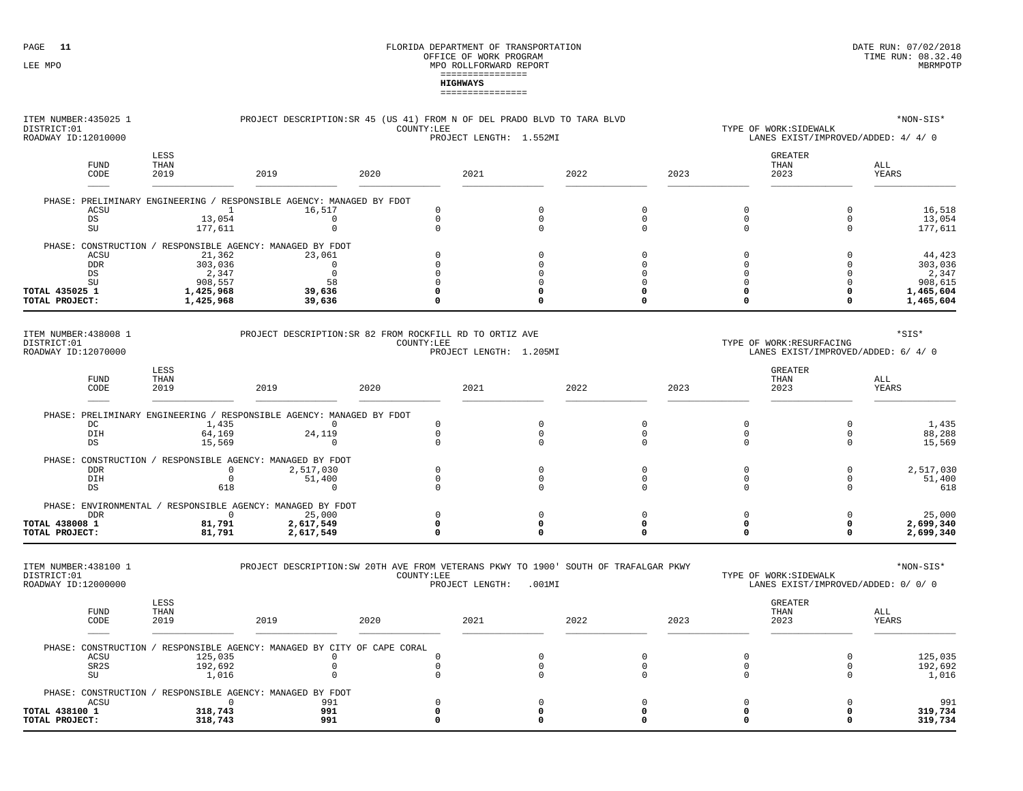| ITEM NUMBER: 435025 1<br>DISTRICT:01<br>ROADWAY ID:12010000                         |                                                                 | PROJECT DESCRIPTION: SR 45 (US 41) FROM N OF DEL PRADO BLVD TO TARA BLVD                                                 | COUNTY:LEE                                                                 | PROJECT LENGTH: 1.552MI |                                                                  |                                                                      |                                                                        | TYPE OF WORK: SIDEWALK<br>LANES EXIST/IMPROVED/ADDED: 4/ 4/ 0              | *NON-SIS*                                                       |
|-------------------------------------------------------------------------------------|-----------------------------------------------------------------|--------------------------------------------------------------------------------------------------------------------------|----------------------------------------------------------------------------|-------------------------|------------------------------------------------------------------|----------------------------------------------------------------------|------------------------------------------------------------------------|----------------------------------------------------------------------------|-----------------------------------------------------------------|
| <b>FUND</b><br>CODE                                                                 | LESS<br>THAN<br>2019                                            | 2019                                                                                                                     | 2020                                                                       | 2021                    | 2022                                                             | 2023                                                                 |                                                                        | <b>GREATER</b><br>THAN<br>2023                                             | ALL<br>YEARS                                                    |
| ACSU<br>DS<br>$\operatorname{SU}$                                                   | $\mathbf{1}$<br>13,054<br>177,611                               | PHASE: PRELIMINARY ENGINEERING / RESPONSIBLE AGENCY: MANAGED BY FDOT<br>16,517<br>$\mathbf{0}$<br>$\mathsf 0$            | $\mathbf 0$<br>$\mathbf 0$<br>$\mathbf 0$                                  |                         | $\mathbf 0$<br>$\mathbf 0$<br>$\Omega$                           | $\Omega$<br>$\mathbf 0$<br>$\mathbf 0$                               | $\mathbf 0$<br>$\mathbf 0$<br>0                                        | $\Omega$<br>$\mathbf 0$<br>$\Omega$                                        | 16,518<br>13,054<br>177,611                                     |
| ACSU<br><b>DDR</b><br>DS<br>$\operatorname{SU}$<br>TOTAL 435025 1<br>TOTAL PROJECT: | 21,362<br>303,036<br>2,347<br>908,557<br>1,425,968<br>1,425,968 | PHASE: CONSTRUCTION / RESPONSIBLE AGENCY: MANAGED BY FDOT<br>23,061<br>$\mathbf{0}$<br>$\circ$<br>58<br>39,636<br>39,636 | $\Omega$<br>$\Omega$<br>$\Omega$<br>$\mathbf 0$<br>$\mathbf 0$<br>$\Omega$ |                         | $\Omega$<br>$\mathbf 0$<br>$\Omega$<br>$\Omega$<br>0<br>$\Omega$ | $\Omega$<br>$\Omega$<br>$\Omega$<br>$\Omega$<br>$\Omega$<br>$\Omega$ | $\Omega$<br>$\mathbf 0$<br>$\mathbf 0$<br>$\mathbf 0$<br>0<br>$\Omega$ | $\Omega$<br>$\mathbf 0$<br>$\Omega$<br>$\Omega$<br>$\mathbf 0$<br>$\Omega$ | 44,423<br>303,036<br>2,347<br>908,615<br>1,465,604<br>1,465,604 |
| ITEM NUMBER: 438008 1<br>DISTRICT:01<br>ROADWAY ID:12070000                         |                                                                 | PROJECT DESCRIPTION: SR 82 FROM ROCKFILL RD TO ORTIZ AVE                                                                 | COUNTY:LEE                                                                 | PROJECT LENGTH: 1.205MI |                                                                  |                                                                      |                                                                        | TYPE OF WORK:RESURFACING<br>LANES EXIST/IMPROVED/ADDED: 6/ 4/ 0            | *SIS*                                                           |
| <b>FUND</b><br>CODE                                                                 | LESS<br>THAN<br>2019                                            | 2019                                                                                                                     | 2020                                                                       | 2021                    | 2022                                                             | 2023                                                                 |                                                                        | <b>GREATER</b><br>THAN<br>2023                                             | ALL<br>YEARS                                                    |
| DC<br>DIH                                                                           | 1,435<br>64,169                                                 | PHASE: PRELIMINARY ENGINEERING / RESPONSIBLE AGENCY: MANAGED BY FDOT<br>$\circ$<br>24,119                                | $\mathbf 0$<br>$\mathbf 0$                                                 |                         | $\mathbf 0$<br>$\mathbf 0$                                       | $\Omega$<br>$\mathbf 0$                                              | $\Omega$<br>$\mathbf 0$                                                | $\Omega$<br>$\mathbf 0$                                                    | 1,435<br>88,288                                                 |
| DS<br><b>DDR</b><br>DIH<br>DS                                                       | 15,569<br>$\circ$<br>$\Omega$<br>618                            | $\mathbf 0$<br>PHASE: CONSTRUCTION / RESPONSIBLE AGENCY: MANAGED BY FDOT<br>2,517,030<br>51,400<br>$\mathbf{0}$          | $\mathbf 0$<br>$\Omega$<br>$\mathbf 0$<br>$\mathbf 0$                      |                         | $\mathbf 0$<br>$\mathbf 0$<br>$\Omega$<br>$\mathbf 0$            | $\mathbf 0$<br>$\mathbf 0$<br>$\Omega$<br>$\mathbf 0$                | $\mathbf 0$<br>$\mathsf{O}$<br>$\mathbf 0$<br>0                        | $\Omega$<br>$\mathbf 0$<br>$\Omega$<br>$\mathbf 0$                         | 15,569<br>2,517,030<br>51,400<br>618                            |
| <b>DDR</b><br>TOTAL 438008 1<br>TOTAL PROJECT:                                      | $\circ$<br>81,791<br>81,791                                     | PHASE: ENVIRONMENTAL / RESPONSIBLE AGENCY: MANAGED BY FDOT<br>25,000<br>2,617,549<br>2,617,549                           | $\mathbf 0$<br>$\mathbf 0$<br>$\mathbf 0$                                  |                         | $\mathsf 0$<br>$\mathbf 0$<br>$\Omega$                           | $\mathbf 0$<br>0<br>$\Omega$                                         | $\mathsf{O}$<br>0<br>0                                                 | $\overline{0}$<br>$\mathbf 0$<br>0                                         | 25,000<br>2,699,340<br>2,699,340                                |
| ITEM NUMBER: 438100 1<br>DISTRICT:01<br>ROADWAY ID:12000000                         |                                                                 | PROJECT DESCRIPTION: SW 20TH AVE FROM VETERANS PKWY TO 1900' SOUTH OF TRAFALGAR PKWY                                     | COUNTY:LEE                                                                 | PROJECT LENGTH:         | $.001$ MI                                                        |                                                                      |                                                                        | TYPE OF WORK: SIDEWALK<br>LANES EXIST/IMPROVED/ADDED: 0/ 0/ 0              | *NON-SIS*                                                       |
| <b>FUND</b><br>CODE                                                                 | LESS<br>THAN<br>2019                                            | 2019                                                                                                                     | 2020                                                                       | 2021                    | 2022                                                             | 2023                                                                 |                                                                        | <b>GREATER</b><br>THAN<br>2023                                             | ALL<br>YEARS                                                    |
| ACSU<br>SR2S<br>SU                                                                  | 125,035<br>192,692<br>1,016                                     | PHASE: CONSTRUCTION / RESPONSIBLE AGENCY: MANAGED BY CITY OF CAPE CORAL<br>$^{\circ}$<br>$\mathbf 0$<br>$\mathbb O$      | $\Omega$<br>$\mathbf 0$<br>$\mathbb O$                                     |                         | $\Omega$<br>$\mathbf 0$<br>$\mathbf 0$                           | $\Omega$<br>$\mathbf 0$<br>$\mathbb O$                               | $\mathbf 0$<br>0<br>$\mathsf{O}$                                       | $\mathbf 0$<br>$\mathbb O$<br>$\mathbf 0$                                  | 125,035<br>192,692<br>1,016                                     |
| ACSU<br>TOTAL 438100 1<br>TOTAL PROJECT:                                            | $\circ$<br>318,743<br>318,743                                   | PHASE: CONSTRUCTION / RESPONSIBLE AGENCY: MANAGED BY FDOT<br>991<br>991<br>991                                           | $\Omega$<br>$\mathbf 0$<br>$\mathbf 0$                                     |                         | $\Omega$<br>$\Omega$<br>0                                        | $\Omega$<br>$\Omega$<br>$\Omega$                                     | <sup>0</sup><br>0<br>0                                                 | $\Omega$<br>$\Omega$<br>$\Omega$                                           | 991<br>319,734<br>319,734                                       |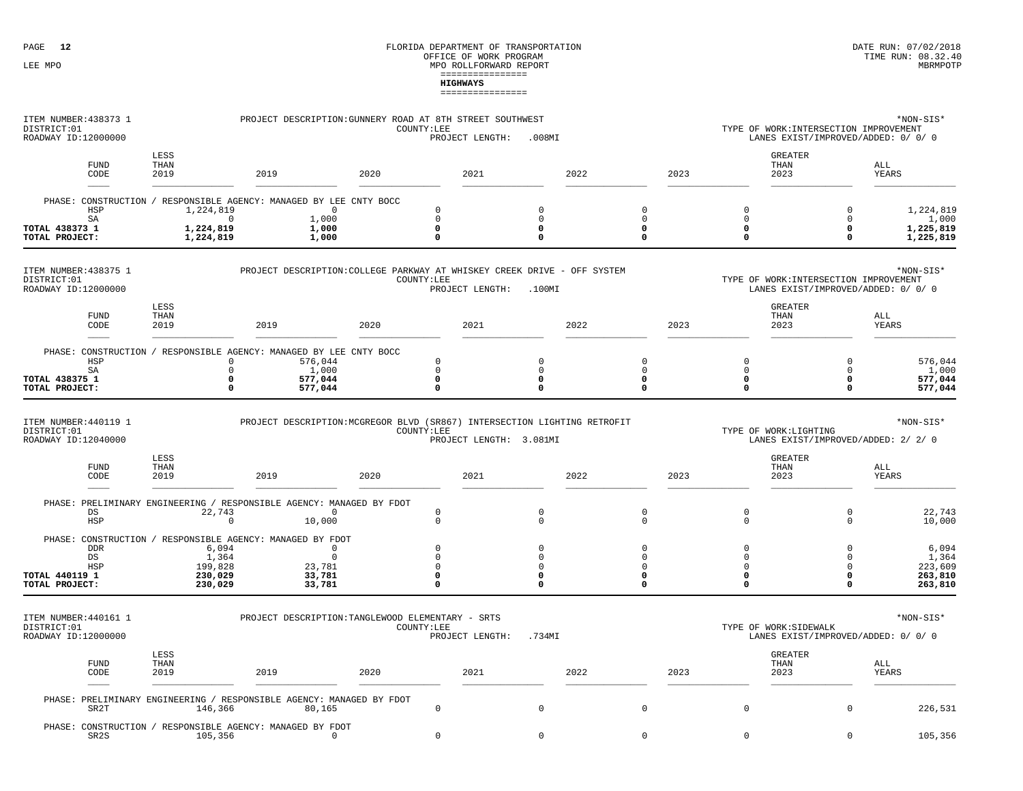| ITEM NUMBER: 438373 1<br>DISTRICT:01                        |                                                                                                                       | PROJECT DESCRIPTION: GUNNERY ROAD AT 8TH STREET SOUTHWEST                 |      | COUNTY:LEE                          |                                                                   |      |                                                      |      |                                        | TYPE OF WORK: INTERSECTION IMPROVEMENT                                        | *NON-SIS*                                       |
|-------------------------------------------------------------|-----------------------------------------------------------------------------------------------------------------------|---------------------------------------------------------------------------|------|-------------------------------------|-------------------------------------------------------------------|------|------------------------------------------------------|------|----------------------------------------|-------------------------------------------------------------------------------|-------------------------------------------------|
| ROADWAY ID:12000000                                         |                                                                                                                       |                                                                           |      | PROJECT LENGTH:                     | .008MI                                                            |      |                                                      |      |                                        | LANES EXIST/IMPROVED/ADDED: 0/ 0/ 0                                           |                                                 |
| <b>FUND</b><br>CODE                                         | LESS<br>THAN<br>2019                                                                                                  | 2019                                                                      | 2020 | 2021                                |                                                                   | 2022 |                                                      | 2023 |                                        | <b>GREATER</b><br>THAN<br>2023                                                | ALL<br>YEARS                                    |
| HSP<br>SA<br>TOTAL 438373 1<br>TOTAL PROJECT:               | PHASE: CONSTRUCTION / RESPONSIBLE AGENCY: MANAGED BY LEE CNTY BOCC<br>1,224,819<br>$\Omega$<br>1,224,819<br>1,224,819 | 0<br>1,000<br>1,000<br>1,000                                              |      | $\Omega$<br>$\mathbf 0$<br>0<br>0   | $\Omega$<br>$\mathbf 0$<br>$\mathbf 0$<br>$\mathbf 0$             |      | $\Omega$<br>0<br>0<br>0                              |      | $\mathsf{O}$<br>$\mathbf 0$<br>0<br>0  | $\Omega$<br>$\Omega$<br>0<br>0                                                | 1,224,819<br>1,000<br>1,225,819<br>1,225,819    |
| ITEM NUMBER: 438375 1<br>DISTRICT:01<br>ROADWAY ID:12000000 |                                                                                                                       | PROJECT DESCRIPTION: COLLEGE PARKWAY AT WHISKEY CREEK DRIVE - OFF SYSTEM  |      | COUNTY:LEE<br>PROJECT LENGTH:       | .100MT                                                            |      |                                                      |      |                                        | TYPE OF WORK: INTERSECTION IMPROVEMENT<br>LANES EXIST/IMPROVED/ADDED: 0/ 0/ 0 | *NON-SIS*                                       |
| <b>FUND</b><br>CODE                                         | LESS<br>THAN<br>2019                                                                                                  | 2019                                                                      | 2020 | 2021                                |                                                                   | 2022 |                                                      | 2023 |                                        | <b>GREATER</b><br>THAN<br>2023                                                | ALL<br>YEARS                                    |
| HSP<br>SA<br>TOTAL 438375 1<br>TOTAL PROJECT:               | PHASE: CONSTRUCTION / RESPONSIBLE AGENCY: MANAGED BY LEE CNTY BOCC<br>0<br>$\mathbf 0$<br>$\mathbf 0$<br>$\mathbf 0$  | 576,044<br>1,000<br>577,044<br>577,044                                    |      | $\mathbf 0$<br>$\Omega$<br>0<br>0   | $\circ$<br>$\mathbf 0$<br>$\mathbf 0$<br>$\Omega$                 |      | $\mathbf 0$<br>$\Omega$<br>$\Omega$<br>$\mathbf 0$   |      | 0<br>$\mathbf 0$<br>0<br>0             | $\mathbf 0$<br>$\Omega$<br>$\mathbf 0$<br>0                                   | 576,044<br>1,000<br>577,044<br>577,044          |
| ITEM NUMBER: 440119 1<br>DISTRICT:01<br>ROADWAY ID:12040000 |                                                                                                                       | PROJECT DESCRIPTION: MCGREGOR BLVD (SR867) INTERSECTION LIGHTING RETROFIT |      | COUNTY:LEE                          | PROJECT LENGTH: 3.081MI                                           |      |                                                      |      |                                        | TYPE OF WORK:LIGHTING<br>LANES EXIST/IMPROVED/ADDED: 2/ 2/ 0                  | *NON-SIS*                                       |
| <b>FUND</b><br>CODE                                         | LESS<br>THAN<br>2019                                                                                                  | 2019                                                                      | 2020 | 2021                                |                                                                   | 2022 |                                                      | 2023 |                                        | <b>GREATER</b><br>THAN<br>2023                                                | ALL<br>YEARS                                    |
| DS<br>HSP                                                   | PHASE: PRELIMINARY ENGINEERING / RESPONSIBLE AGENCY: MANAGED BY FDOT<br>22,743<br>$\mathbf 0$                         | $^{\circ}$<br>10,000                                                      |      | $\mathbf 0$<br>$\mathbf 0$          | $\mathsf 0$<br>$\mathbf{0}$                                       |      | $\Omega$<br>$\Omega$                                 |      | $\mathsf{O}$<br>$\mathbf 0$            | $\Omega$<br>0                                                                 | 22,743<br>10,000                                |
| <b>DDR</b><br>DS<br>HSP<br>TOTAL 440119 1<br>TOTAL PROJECT: | PHASE: CONSTRUCTION / RESPONSIBLE AGENCY: MANAGED BY FDOT<br>6,094<br>1,364<br>199,828<br>230,029<br>230,029          | $\overline{0}$<br>0<br>23,781<br>33,781<br>33,781                         |      | $\Omega$<br>0<br>$\Omega$<br>0<br>0 | $\overline{0}$<br>0<br>$\mathbf 0$<br>$\mathbf 0$<br>$\mathbf{o}$ |      | $\Omega$<br>0<br>$\Omega$<br>$\Omega$<br>$\mathbf 0$ |      | $\mathbf 0$<br>0<br>$\Omega$<br>0<br>0 | $\Omega$<br>$\Omega$<br>$\Omega$<br>$\Omega$<br>0                             | 6,094<br>1,364<br>223,609<br>263,810<br>263,810 |
| ITEM NUMBER: 440161 1<br>DISTRICT:01<br>ROADWAY ID:12000000 |                                                                                                                       | PROJECT DESCRIPTION: TANGLEWOOD ELEMENTARY - SRTS                         |      | COUNTY:LEE<br>PROJECT LENGTH:       | .734MI                                                            |      |                                                      |      |                                        | TYPE OF WORK: SIDEWALK<br>LANES EXIST/IMPROVED/ADDED: 0/ 0/ 0                 | *NON-SIS*                                       |
| <b>FUND</b><br>CODE                                         | LESS<br>THAN<br>2019                                                                                                  | 2019                                                                      | 2020 | 2021                                |                                                                   | 2022 |                                                      | 2023 |                                        | GREATER<br>THAN<br>2023                                                       | ALL<br>YEARS                                    |
| SR <sub>2</sub> T                                           | PHASE: PRELIMINARY ENGINEERING / RESPONSIBLE AGENCY: MANAGED BY FDOT<br>146,366                                       | 80,165                                                                    |      | $\mathbf 0$                         | $\circ$                                                           |      | $\mathbf 0$                                          |      | 0                                      | 0                                                                             | 226,531                                         |
| SR <sub>2</sub> S                                           | PHASE: CONSTRUCTION / RESPONSIBLE AGENCY: MANAGED BY FDOT<br>105,356                                                  | $\mathbf{0}$                                                              |      | $\Omega$                            | $\Omega$                                                          |      | $\Omega$                                             |      | $\mathbf 0$                            | $\Omega$                                                                      | 105,356                                         |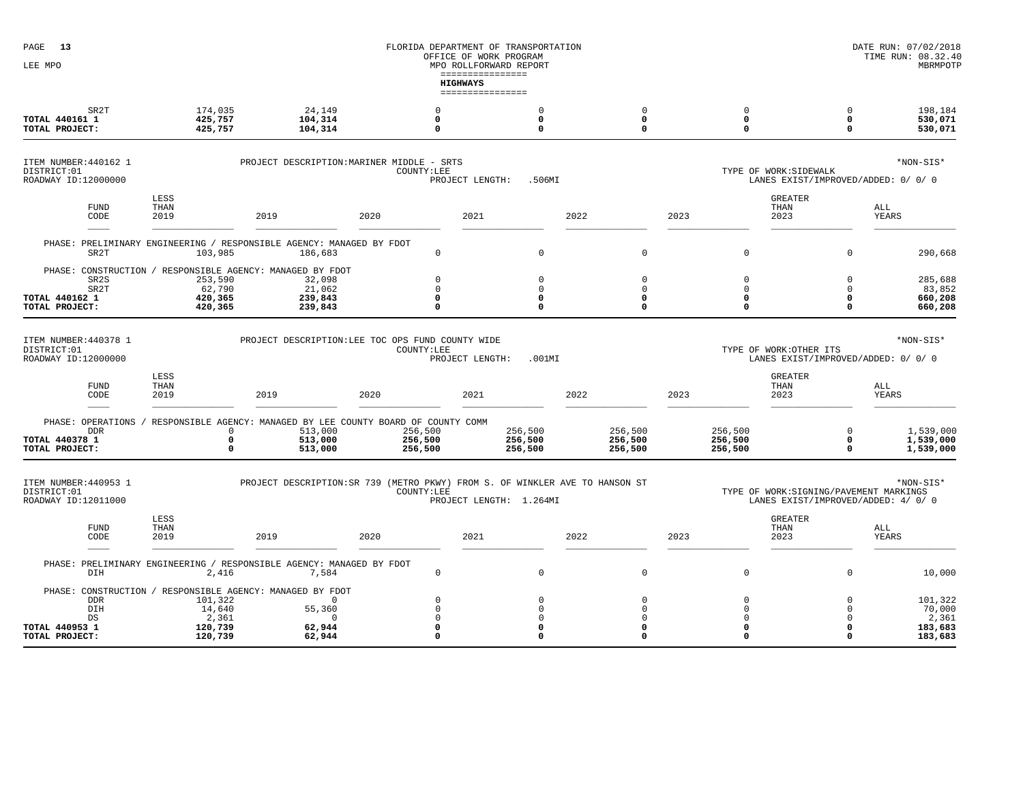| PAGE<br>13<br>LEE MPO                                                     |                                                  |                                                                                                                   |                                                           | OFFICE OF WORK PROGRAM<br>MPO ROLLFORWARD REPORT        | FLORIDA DEPARTMENT OF TRANSPORTATION                    |      |                                                          |      |                                                                |                                                                                  |                                                          | DATE RUN: 07/02/2018<br>TIME RUN: 08.32.40<br>MBRMPOTP |
|---------------------------------------------------------------------------|--------------------------------------------------|-------------------------------------------------------------------------------------------------------------------|-----------------------------------------------------------|---------------------------------------------------------|---------------------------------------------------------|------|----------------------------------------------------------|------|----------------------------------------------------------------|----------------------------------------------------------------------------------|----------------------------------------------------------|--------------------------------------------------------|
|                                                                           |                                                  |                                                                                                                   |                                                           | ================<br><b>HIGHWAYS</b><br>---------------- |                                                         |      |                                                          |      |                                                                |                                                                                  |                                                          |                                                        |
| SR <sub>2</sub> T<br>TOTAL 440161 1<br>TOTAL PROJECT:                     | 174,035<br>425,757<br>425,757                    | 24,149<br>104,314<br>104,314                                                                                      | $\Omega$<br>0<br>0                                        |                                                         | $\mathbf 0$<br>0<br>0                                   |      | $\mathbf 0$<br>$\mathsf{o}\,$<br>$\Omega$                |      | $\mathsf 0$<br>$\mathbf 0$<br>$\mathbf 0$                      |                                                                                  | $\Omega$<br>$\mathbf 0$<br>$\mathbf{o}$                  | 198,184<br>530,071<br>530,071                          |
| ITEM NUMBER: 440162 1<br>DISTRICT:01<br>ROADWAY ID:12000000               |                                                  | PROJECT DESCRIPTION: MARINER MIDDLE - SRTS                                                                        | COUNTY: LEE                                               | PROJECT LENGTH:                                         | .506MI                                                  |      |                                                          |      |                                                                | TYPE OF WORK: SIDEWALK<br>LANES EXIST/IMPROVED/ADDED: 0/ 0/ 0                    |                                                          | *NON-SIS*                                              |
| <b>FUND</b><br>CODE                                                       | LESS<br>THAN<br>2019                             | 2019                                                                                                              | 2020                                                      | 2021                                                    |                                                         | 2022 |                                                          | 2023 |                                                                | <b>GREATER</b><br>THAN<br>2023                                                   | ALL                                                      | YEARS                                                  |
| SR2T                                                                      | 103,985                                          | PHASE: PRELIMINARY ENGINEERING / RESPONSIBLE AGENCY: MANAGED BY FDOT<br>186,683                                   | $\circ$                                                   |                                                         | $\mathsf 0$                                             |      | $\Omega$                                                 |      | $\overline{0}$                                                 |                                                                                  | $\Omega$                                                 | 290,668                                                |
| SR <sub>2</sub> S<br>SR <sub>2T</sub><br>TOTAL 440162 1<br>TOTAL PROJECT: | 253,590<br>62,790<br>420,365<br>420,365          | PHASE: CONSTRUCTION / RESPONSIBLE AGENCY: MANAGED BY FDOT<br>32,098<br>21,062<br>239,843<br>239,843               | $\mathbf 0$<br>$\mathbf{0}$<br>$\mathbf 0$<br>$\mathbf 0$ |                                                         | $\mathsf 0$<br>$\mathbf 0$<br>0<br>0                    |      | $\mathbf 0$<br>$\mathbf 0$<br>$\mathsf{o}\,$<br>$\Omega$ |      | $\mathsf 0$<br>$\mathbf 0$<br>$\mathbf 0$<br>$\Omega$          |                                                                                  | $\mathbf 0$<br>$\Omega$<br>$\mathbf 0$<br>$\Omega$       | 285,688<br>83,852<br>660,208<br>660,208                |
| ITEM NUMBER: 440378 1<br>DISTRICT:01<br>ROADWAY ID:12000000               |                                                  | PROJECT DESCRIPTION: LEE TOC OPS FUND COUNTY WIDE                                                                 | COUNTY: LEE                                               | PROJECT LENGTH:                                         | .001MT                                                  |      |                                                          |      |                                                                | TYPE OF WORK: OTHER ITS<br>LANES EXIST/IMPROVED/ADDED: 0/ 0/ 0                   |                                                          | *NON-SIS*                                              |
| <b>FUND</b><br>CODE                                                       | LESS<br>THAN<br>2019                             | 2019                                                                                                              | 2020                                                      | 2021                                                    |                                                         | 2022 |                                                          | 2023 |                                                                | <b>GREATER</b><br>THAN<br>2023                                                   | ALL                                                      | YEARS                                                  |
| PHASE: OPERATIONS<br><b>DDR</b><br>TOTAL 440378 1<br>TOTAL PROJECT:       | 0<br>$\mathsf{o}$<br>$\mathbf 0$                 | RESPONSIBLE AGENCY: MANAGED BY LEE COUNTY BOARD OF COUNTY COMM<br>513,000<br>513,000<br>513,000                   | 256,500<br>256,500<br>256,500                             |                                                         | 256,500<br>256,500<br>256,500                           |      | 256,500<br>256,500<br>256,500                            |      | 256,500<br>256,500<br>256,500                                  |                                                                                  | $\mathbf 0$<br>0<br>$\Omega$                             | 1,539,000<br>1,539,000<br>1,539,000                    |
| ITEM NUMBER: 440953 1<br>DISTRICT:01<br>ROADWAY ID:12011000               |                                                  | PROJECT DESCRIPTION: SR 739 (METRO PKWY) FROM S. OF WINKLER AVE TO HANSON ST                                      | COUNTY:LEE                                                |                                                         | PROJECT LENGTH: 1.264MI                                 |      |                                                          |      |                                                                | TYPE OF WORK: SIGNING / PAVEMENT MARKINGS<br>LANES EXIST/IMPROVED/ADDED: 4/ 0/ 0 |                                                          | *NON-SIS*                                              |
| <b>FUND</b><br>CODE                                                       | LESS<br>THAN<br>2019                             | 2019                                                                                                              | 2020                                                      | 2021                                                    |                                                         | 2022 |                                                          | 2023 |                                                                | <b>GREATER</b><br>THAN<br>2023                                                   | ALL                                                      | YEARS                                                  |
| DIH                                                                       | 2,416                                            | PHASE: PRELIMINARY ENGINEERING / RESPONSIBLE AGENCY: MANAGED BY FDOT<br>7,584                                     | $\circ$                                                   |                                                         | $\mathbf 0$                                             |      | $\Omega$                                                 |      | $\mathsf 0$                                                    |                                                                                  | $\Omega$                                                 | 10,000                                                 |
| <b>DDR</b><br>DIH<br>DS<br>TOTAL 440953 1<br>TOTAL PROJECT:               | 101,322<br>14,640<br>2,361<br>120,739<br>120,739 | PHASE: CONSTRUCTION / RESPONSIBLE AGENCY: MANAGED BY FDOT<br>$^{\circ}$<br>55,360<br>$\Omega$<br>62,944<br>62,944 | $\Omega$<br>$\mathbf{0}$<br>$\Omega$<br>0<br>$\Omega$     |                                                         | $\mathbf 0$<br>$\mathbf 0$<br>$\Omega$<br>0<br>$\Omega$ |      | $\Omega$<br>$\Omega$<br>$\Omega$<br>0<br>$\Omega$        |      | $\Omega$<br>$\mathbf 0$<br>$\Omega$<br>$\mathbf 0$<br>$\Omega$ |                                                                                  | $\Omega$<br>$\Omega$<br>$\Omega$<br>$\Omega$<br>$\Omega$ | 101,322<br>70,000<br>2,361<br>183,683<br>183,683       |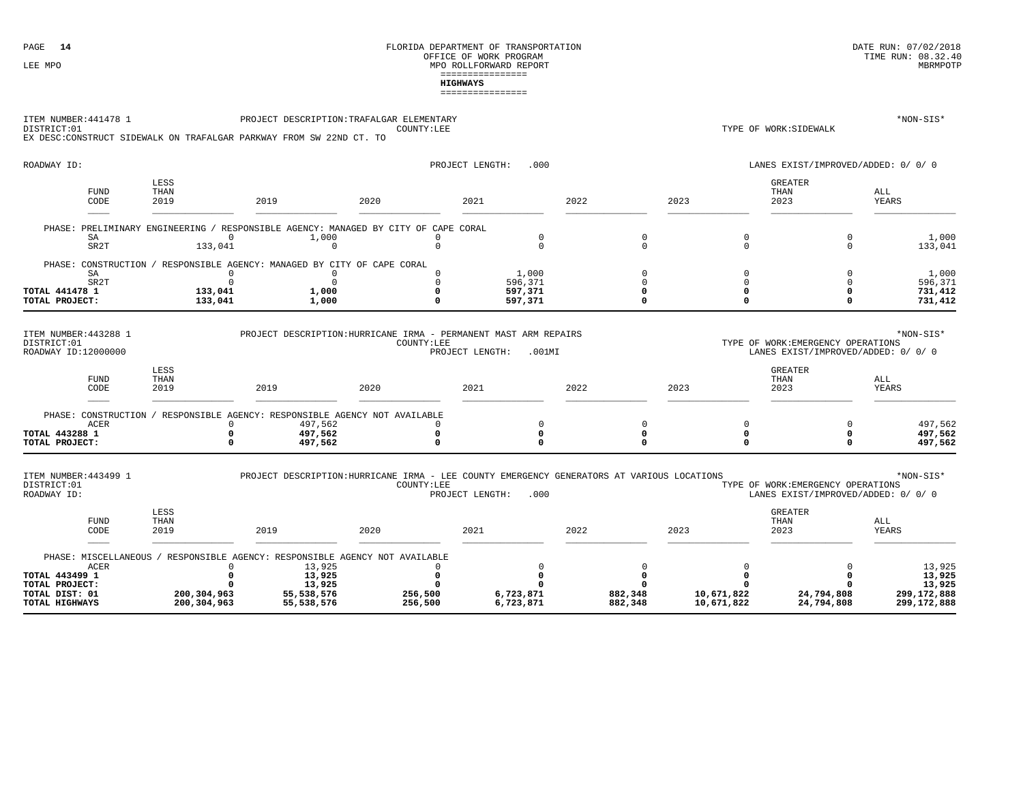#### FLORIDA DEPARTMENT OF TRANSPORTATION **EXECUTE OF TRANSPORTATION** DATE RUN: 07/02/2018 **DATE RUN: 08.32.40** OFFICE OF WORK PROGRAM LEE MPO  $\,$  MPO ROLLFORWARD REPORT  $\,$ ================**HIGHWAYS**================

#### ITEM NUMBER:441478 1 PROJECT DESCRIPTION:TRAFALGAR ELEMENTARY \*NON-SIS\* DISTRICT:01TYPE OF WORK: SIDEWALK EX DESC:CONSTRUCT SIDEWALK ON TRAFALGAR PARKWAY FROM SW 22ND CT. TO

|                      |                                                         |                                        |                                                   |                                                   | LANES EXIST/IMPROVED/ADDED: 0/ 0/ 0 |                         |              |  |
|----------------------|---------------------------------------------------------|----------------------------------------|---------------------------------------------------|---------------------------------------------------|-------------------------------------|-------------------------|--------------|--|
| LESS<br>THAN<br>2019 | 2019                                                    | 2020                                   | 2021                                              | 2022                                              | 2023                                | GREATER<br>THAN<br>2023 | ALL<br>YEARS |  |
|                      |                                                         |                                        |                                                   |                                                   |                                     |                         |              |  |
|                      |                                                         |                                        |                                                   |                                                   |                                     |                         | 1,000        |  |
|                      |                                                         |                                        |                                                   |                                                   |                                     |                         | 133,041      |  |
|                      |                                                         |                                        |                                                   |                                                   |                                     |                         |              |  |
|                      |                                                         |                                        |                                                   |                                                   |                                     |                         |              |  |
|                      |                                                         |                                        | 1,000                                             |                                                   |                                     |                         | 1,000        |  |
|                      |                                                         |                                        | 596,371                                           |                                                   |                                     |                         | 596,371      |  |
|                      | 1,000                                                   |                                        | 597,371                                           |                                                   |                                     |                         | 731,412      |  |
|                      | 1,000                                                   |                                        | 597,371                                           |                                                   |                                     |                         | 731,412      |  |
| FUND                 | PHASE: PRELIMINARY ENGINEERING /<br>PHASE: CONSTRUCTION | 1,000<br>133,041<br>133,041<br>133,041 | RESPONSIBLE AGENCY: MANAGED BY CITY OF CAPE CORAL | RESPONSIBLE AGENCY: MANAGED BY CITY OF CAPE CORAL |                                     |                         |              |  |

| ITEM NUMBER: 443288 1<br>DISTRICT:01<br>ROADWAY ID:12000000 |                      |      | PROJECT DESCRIPTION: HURRICANE IRMA - PERMANENT MAST ARM REPAIRS | COUNTY:LEE<br>PROJECT LENGTH: | $.001$ MI |      | TYPE OF WORK: EMERGENCY OPERATIONS<br>LANES EXIST/IMPROVED/ADDED: 0/ 0/ 0 | *NON-SIS* |                    |
|-------------------------------------------------------------|----------------------|------|------------------------------------------------------------------|-------------------------------|-----------|------|---------------------------------------------------------------------------|-----------|--------------------|
| FUND<br>CODE                                                | LESS<br>THAN<br>2019 | 2019 | 2020                                                             | 2021                          | 2022      | 2023 | GREATER<br>THAN<br>2023                                                   |           | ALL<br>YEARS       |
| PHASE: CONSTRUCTION<br>ACER                                 |                      |      | RESPONSIBLE AGENCY: RESPONSIBLE AGENCY NOT AVAILABLE<br>497,562  |                               |           |      |                                                                           |           | 497,562            |
| <b>TOTAL 443288 1</b><br>TOTAL PROJECT:                     |                      |      | 497,562<br>497,562                                               |                               |           |      |                                                                           |           | 497,562<br>497,562 |

| .000<br>ROADWAY ID:<br>PROJECT LENGTH:<br>LANES EXIST/IMPROVED/ADDED: 0/ 0/ 0                                                  |             |
|--------------------------------------------------------------------------------------------------------------------------------|-------------|
| LESS<br><b>GREATER</b><br>ALL<br>FUND<br>THAN<br>THAN<br>2023<br>2019<br>2022<br>2020<br>2021<br>2019<br>YEARS<br>2023<br>CODE |             |
| RESPONSIBLE AGENCY: RESPONSIBLE AGENCY NOT AVAILABLE<br>PHASE: MISCELLANEOUS /                                                 |             |
| 13,925<br>ACER                                                                                                                 | 13,925      |
| <b>TOTAL 443499 1</b><br>13,925                                                                                                | 13,925      |
| 13,925<br>TOTAL PROJECT:                                                                                                       | 13,925      |
| 256,500<br>882,348<br>200,304,963<br>6,723,871<br>10,671,822<br>24,794,808<br>TOTAL DIST: 01<br>55,538,576                     | 299,172,888 |
| 200,304,963<br>256,500<br>882,348<br>24,794,808<br>TOTAL HIGHWAYS<br>55,538,576<br>10,671,822<br>6,723,871                     | 299,172,888 |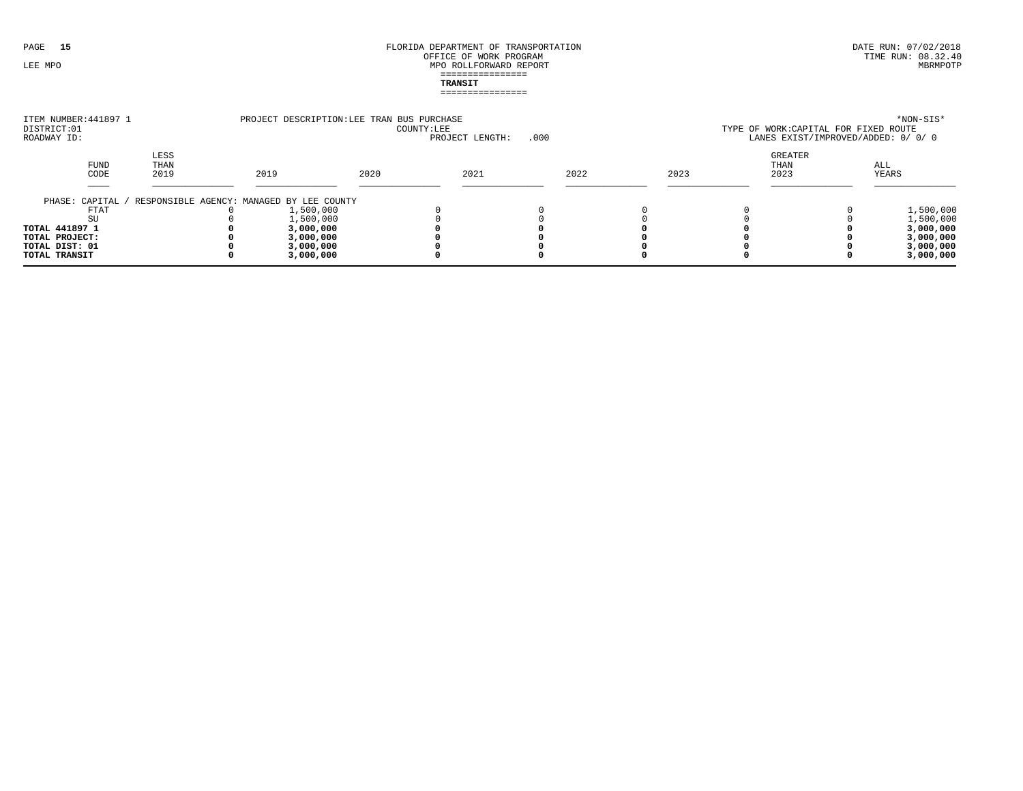| ITEM NUMBER: 441897 1<br>DISTRICT:01<br>ROADWAY ID: |                     |                      |                                           | PROJECT DESCRIPTION: LEE TRAN BUS PURCHASE<br>COUNTY:LEE<br>PROJECT LENGTH:<br>.000 |      |  |      |      |                         | *NON-SIS*<br>TYPE OF WORK: CAPITAL FOR FIXED ROUTE<br>LANES EXIST/IMPROVED/ADDED: 0/ 0/ 0 |  |  |
|-----------------------------------------------------|---------------------|----------------------|-------------------------------------------|-------------------------------------------------------------------------------------|------|--|------|------|-------------------------|-------------------------------------------------------------------------------------------|--|--|
|                                                     | <b>FUND</b><br>CODE | LESS<br>THAN<br>2019 | 2019                                      | 2020                                                                                | 2021 |  | 2022 | 2023 | GREATER<br>THAN<br>2023 | ALL<br>YEARS                                                                              |  |  |
|                                                     | PHASE: CAPITAL /    |                      | RESPONSIBLE AGENCY: MANAGED BY LEE COUNTY |                                                                                     |      |  |      |      |                         |                                                                                           |  |  |
|                                                     | FTAT                |                      | 1,500,000                                 |                                                                                     |      |  |      |      |                         | 1,500,000                                                                                 |  |  |
|                                                     |                     |                      | 1,500,000                                 |                                                                                     |      |  |      |      |                         | 1,500,000                                                                                 |  |  |
| TOTAL 441897 1                                      |                     |                      | 3,000,000                                 |                                                                                     |      |  |      |      |                         | 3,000,000                                                                                 |  |  |
| TOTAL PROJECT:                                      |                     |                      | 3,000,000                                 |                                                                                     |      |  |      |      |                         | 3,000,000                                                                                 |  |  |
| TOTAL DIST: 01                                      |                     |                      | 3,000,000                                 |                                                                                     |      |  |      |      |                         | 3,000,000                                                                                 |  |  |
| TOTAL TRANSIT                                       |                     |                      | 3,000,000                                 |                                                                                     |      |  |      |      |                         | 3,000,000                                                                                 |  |  |